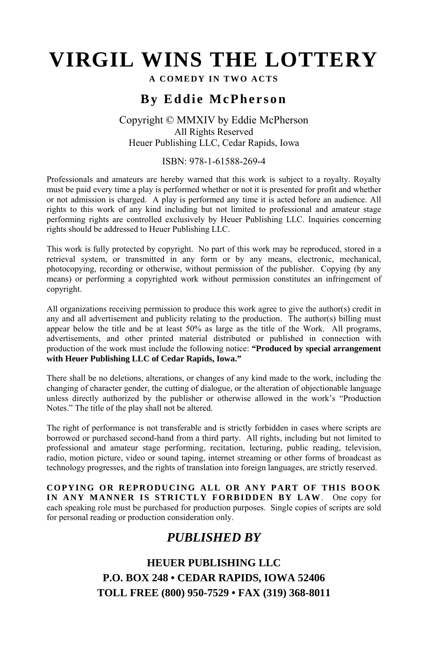# **VIRGIL WINS THE LOTTERY**

#### **A COMEDY IN TWO ACTS**

# **By Eddie McPherson**

#### Copyright © MMXIV by Eddie McPherson All Rights Reserved Heuer Publishing LLC, Cedar Rapids, Iowa

#### ISBN: 978-1-61588-269-4

Professionals and amateurs are hereby warned that this work is subject to a royalty. Royalty must be paid every time a play is performed whether or not it is presented for profit and whether or not admission is charged. A play is performed any time it is acted before an audience. All rights to this work of any kind including but not limited to professional and amateur stage performing rights are controlled exclusively by Heuer Publishing LLC. Inquiries concerning rights should be addressed to Heuer Publishing LLC.

This work is fully protected by copyright. No part of this work may be reproduced, stored in a retrieval system, or transmitted in any form or by any means, electronic, mechanical, photocopying, recording or otherwise, without permission of the publisher. Copying (by any means) or performing a copyrighted work without permission constitutes an infringement of copyright.

All organizations receiving permission to produce this work agree to give the author(s) credit in any and all advertisement and publicity relating to the production. The author(s) billing must appear below the title and be at least 50% as large as the title of the Work. All programs, advertisements, and other printed material distributed or published in connection with production of the work must include the following notice: **"Produced by special arrangement with Heuer Publishing LLC of Cedar Rapids, Iowa."**

There shall be no deletions, alterations, or changes of any kind made to the work, including the changing of character gender, the cutting of dialogue, or the alteration of objectionable language unless directly authorized by the publisher or otherwise allowed in the work's "Production Notes." The title of the play shall not be altered.

The right of performance is not transferable and is strictly forbidden in cases where scripts are borrowed or purchased second-hand from a third party. All rights, including but not limited to professional and amateur stage performing, recitation, lecturing, public reading, television, radio, motion picture, video or sound taping, internet streaming or other forms of broadcast as technology progresses, and the rights of translation into foreign languages, are strictly reserved.

**COPYING OR REPRODUCING ALL OR ANY PART OF THIS BOOK IN ANY MANNER IS STRICTLY FORBIDDEN BY LAW**. One copy for each speaking role must be purchased for production purposes. Single copies of scripts are sold for personal reading or production consideration only.

# *PUBLISHED BY*

**HEUER PUBLISHING LLC P.O. BOX 248 • CEDAR RAPIDS, IOWA 52406 TOLL FREE (800) 950-7529 • FAX (319) 368-8011**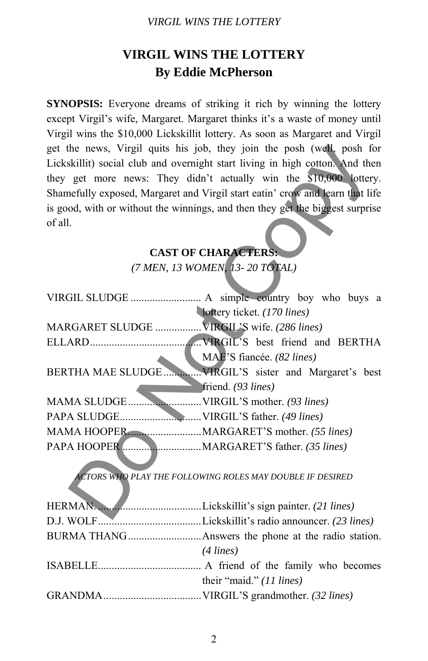#### *VIRGIL WINS THE LOTTERY*

# **VIRGIL WINS THE LOTTERY By Eddie McPherson**

**SYNOPSIS:** Everyone dreams of striking it rich by winning the lottery except Virgil's wife, Margaret. Margaret thinks it's a waste of money until Virgil wins the \$10,000 Lickskillit lottery. As soon as Margaret and Virgil get the news, Virgil quits his job, they join the posh (well, posh for Lickskillit) social club and overnight start living in high cotton. And then they get more news: They didn't actually win the \$10,000 lottery. Shamefully exposed, Margaret and Virgil start eatin' crow and learn that life is good, with or without the winnings, and then they get the biggest surprise of all.

### **CAST OF CHARACTERS:**

|                                             | get the news, Virgil quits his job, they join the posh (well, posh for        |  |
|---------------------------------------------|-------------------------------------------------------------------------------|--|
|                                             | Lickskillit) social club and overnight start living in high cotton. And then  |  |
|                                             | they get more news: They didn't actually win the \$10,000 lottery.            |  |
|                                             | Shamefully exposed, Margaret and Virgil start eatin' crow and learn that life |  |
|                                             | is good, with or without the winnings, and then they get the biggest surprise |  |
| of all.                                     |                                                                               |  |
|                                             |                                                                               |  |
|                                             | <b>CAST OF CHARACTERS:</b>                                                    |  |
| (7 MEN, 13 WOMEN, 13-20 TOTAL)              |                                                                               |  |
|                                             |                                                                               |  |
|                                             |                                                                               |  |
|                                             | lottery ticket. (170 lines)                                                   |  |
| MARGARET SLUDGE  VIRGIL'S wife. (286 lines) |                                                                               |  |
|                                             |                                                                               |  |
|                                             | MAE'S fiancée. (82 lines)                                                     |  |
|                                             |                                                                               |  |
|                                             | friend. (93 lines)                                                            |  |
|                                             |                                                                               |  |
|                                             |                                                                               |  |
| MAMA HOOPER MARGARET'S mother. (55 lines)   |                                                                               |  |
|                                             |                                                                               |  |
|                                             |                                                                               |  |
|                                             | <b>ACTORS WHO PLAY THE FOLLOWING ROLES MAY DOUBLE IF DESIRED</b>              |  |
|                                             |                                                                               |  |
|                                             |                                                                               |  |
|                                             |                                                                               |  |
|                                             |                                                                               |  |
|                                             | $(4 \text{ lines})$                                                           |  |
|                                             |                                                                               |  |
|                                             | their "maid." (11 lines)                                                      |  |
|                                             |                                                                               |  |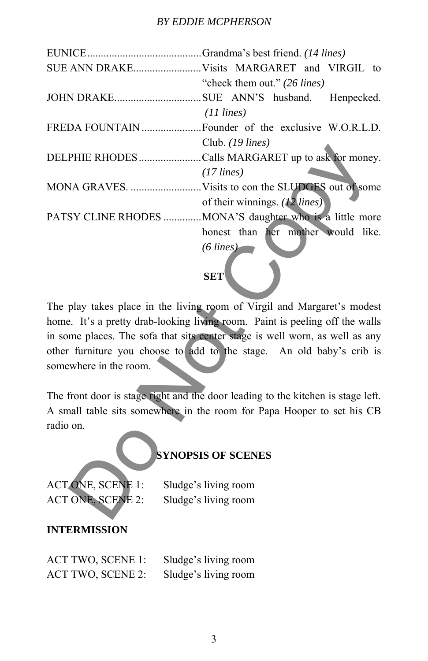|                              | "check them out." (26 lines)                                                     |
|------------------------------|----------------------------------------------------------------------------------|
| JOHN DRAKESUE ANN'S husband. | Henpecked.                                                                       |
|                              | $(11 \text{ lines})$                                                             |
|                              |                                                                                  |
|                              | Club. (19 lines)                                                                 |
|                              | DELPHIE RHODES Calls MARGARET up to ask for money.                               |
|                              | $(17$ lines)                                                                     |
|                              |                                                                                  |
|                              | of their winnings. $(12 \text{ lines})$                                          |
|                              | PATSY CLINE RHODES  MONA'S daughter who is a little more                         |
|                              | honest than her mother would like.                                               |
|                              | $(6$ lines)                                                                      |
|                              |                                                                                  |
|                              | <b>SET</b>                                                                       |
|                              |                                                                                  |
|                              | The play takes place in the living room of Virgil and Margaret's modest          |
|                              | home. It's a pretty drab-looking living room. Paint is peeling off the walls     |
|                              | in some places. The sofa that sits center stage is well worn, as well as any     |
|                              | other furniture you choose to add to the stage. An old baby's crib is            |
| somewhere in the room.       |                                                                                  |
|                              |                                                                                  |
|                              | The front door is stage right and the door leading to the kitchen is stage left. |
|                              | A small table sits somewhere in the room for Papa Hooper to set his CB           |
| radio on.                    |                                                                                  |
|                              |                                                                                  |
| <b>SYNOPSIS OF SCENES</b>    |                                                                                  |
|                              |                                                                                  |
| <b>ACTONE, SCENE 1:</b>      | Sludge's living room                                                             |
| ACT ONE, SCENE 2:            | Sludge's living room                                                             |
|                              |                                                                                  |

# **SET**

# **SYNOPSIS OF SCENES**

#### **INTERMISSION**

| <b>ACT TWO, SCENE 1:</b> | Sludge's living room |
|--------------------------|----------------------|
| <b>ACT TWO, SCENE 2:</b> | Sludge's living room |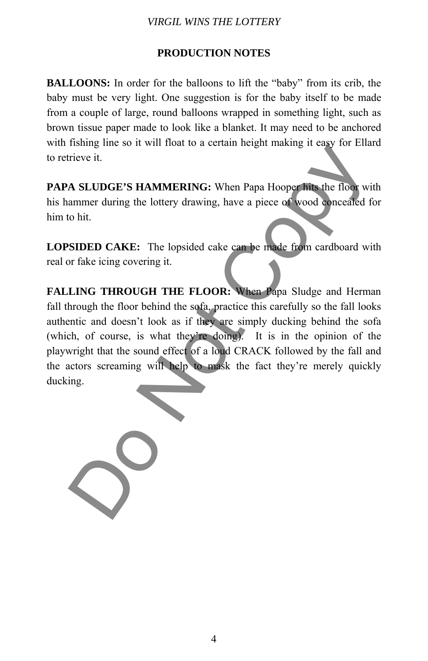#### *VIRGIL WINS THE LOTTERY*

### **PRODUCTION NOTES**

**BALLOONS:** In order for the balloons to lift the "baby" from its crib, the baby must be very light. One suggestion is for the baby itself to be made from a couple of large, round balloons wrapped in something light, such as brown tissue paper made to look like a blanket. It may need to be anchored with fishing line so it will float to a certain height making it easy for Ellard to retrieve it.

**PAPA SLUDGE'S HAMMERING:** When Papa Hooper hits the floor with his hammer during the lottery drawing, have a piece of wood concealed for him to hit.

**LOPSIDED CAKE:** The lopsided cake can be made from cardboard with real or fake icing covering it.

**FALLING THROUGH THE FLOOR:** When Papa Sludge and Herman fall through the floor behind the sofa, practice this carefully so the fall looks authentic and doesn't look as if they are simply ducking behind the sofa (which, of course, is what they're doing). It is in the opinion of the playwright that the sound effect of a loud CRACK followed by the fall and the actors screaming will help to mask the fact they're merely quickly ducking. The Service of the Marian Control of Control of Copyright Copyright Control of Copyright Copyright Copyright Copyright Copyright Copyright Copyright Copyright Copyright Copyright Copyright Copyright Copyright Copyright Cop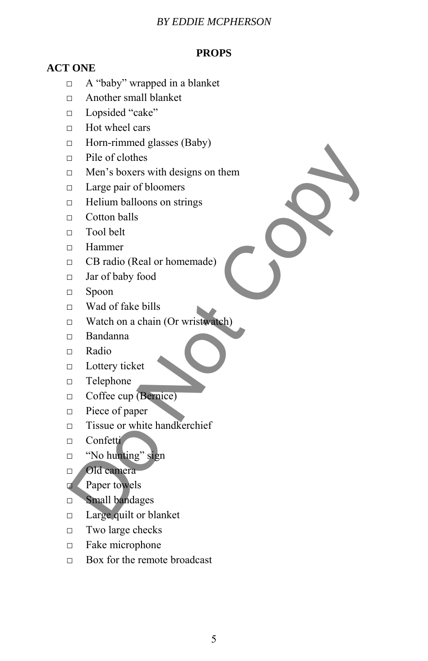#### *BY EDDIE MCPHERSON*

# **PROPS**

# **ACT ONE**

- □ A "baby" wrapped in a blanket
- □ Another small blanket
- □ Lopsided "cake"
- $\Box$  Hot wheel cars
- $\Box$  Horn-rimmed glasses (Baby)
- □ Pile of clothes
- $\Box$  Men's boxers with designs on them Pile of clothes<br>
The of clothes<br>
The of clothes<br>
The of clothes<br>
The of clothes<br>
The of clothes<br>
The multiplication is strings<br>
Cotton balls<br>
The Hammer<br>
The Copy food<br>
Hammer<br>
The Condensity food<br>
The Mandon and the Copy
- □ Large pair of bloomers
- $\Box$  Helium balloons on strings
- □ Cotton balls
- $\Box$  Tool belt
- □ Hammer
- □ CB radio (Real or homemade)
- □ Jar of baby food
- □ Spoon
- □ Wad of fake bills
- □ Watch on a chain (Or wristwatch)
- □ Bandanna
- □ Radio
- □ Lottery ticket
- □ Telephone
- □ Coffee cup (Bernice)
- □ Piece of paper
- □ Tissue or white handkerchief
- □ Confetti
- $\Box$  "No hunting" sign
- □ Old camera
- □ Paper towels
- □ Small bandages
- □ Large quilt or blanket
- □ Two large checks
- □ Fake microphone
- $\Box$  Box for the remote broadcast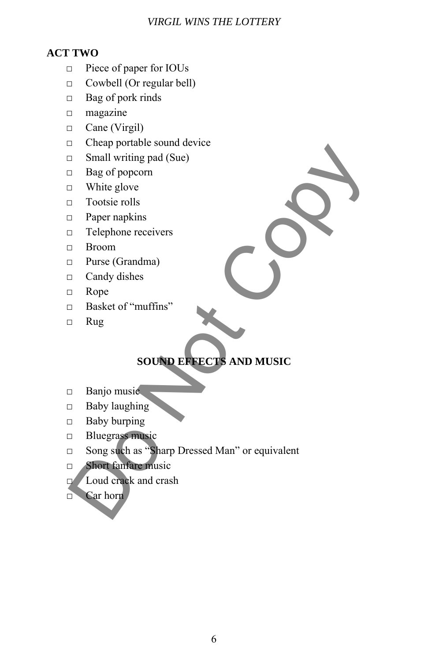#### *VIRGIL WINS THE LOTTERY*

# **ACT TWO**

- □ Piece of paper for IOUs
- □ Cowbell (Or regular bell)
- □ Bag of pork rinds
- □ magazine
- □ Cane (Virgil)
- □ Cheap portable sound device
- $\Box$  Small writing pad (Sue)
- □ Bag of popcorn
- □ White glove
- □ Tootsie rolls
- □ Paper napkins
- □ Telephone receivers
- □ Broom
- □ Purse (Grandma)
- □ Candy dishes
- □ Rope
- □ Basket of "muffins"
- □ Rug

# **SOUND EFFECTS AND MUSIC**

- □ Banjo music
- $\Box$  Baby laughing
- □ Baby burping
- □ Bluegrass music
- □ Song such as "Sharp Dressed Man" or equivalent **Considerate Solution**<br> **Considerate Solution**<br> **Consideration**<br> **Consideration**<br> **Consideration**<br> **Documentary Considers**<br> **Comptant Considers**<br> **Comptant Considers**<br> **Comptant Consider Solution**<br> **Comptant Consider Solu** 
	- □ Short fanfare music
	- □ Loud crack and crash
	- □ Car horn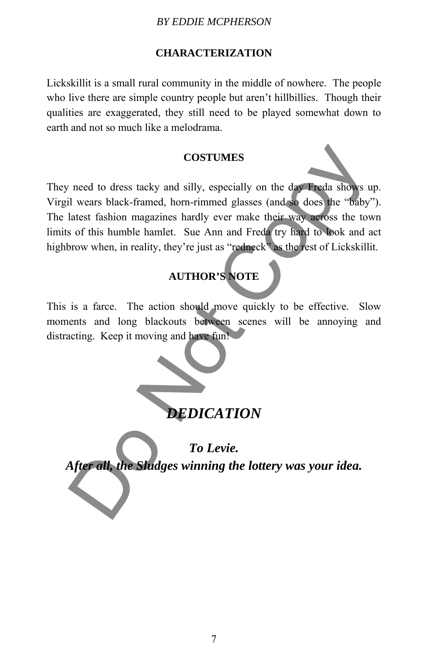#### *BY EDDIE MCPHERSON*

#### **CHARACTERIZATION**

Lickskillit is a small rural community in the middle of nowhere. The people who live there are simple country people but aren't hillbillies. Though their qualities are exaggerated, they still need to be played somewhat down to earth and not so much like a melodrama.

#### **COSTUMES**

They need to dress tacky and silly, especially on the day Freda shows up. Virgil wears black-framed, horn-rimmed glasses (and so does the "baby"). The latest fashion magazines hardly ever make their way across the town limits of this humble hamlet. Sue Ann and Freda try hard to look and act highbrow when, in reality, they're just as "redneck" as the rest of Lickskillit. COSTUMES<br>
The cost of this hand silly, especially on the day Freda shows u<br>
il wears black-framed, hom-rimmed glasses (and so does the "baby"<br>
latest fashion magazines hardly ever make their way across the tow<br>
of this hum

# **AUTHOR'S NOTE**

This is a farce. The action should move quickly to be effective. Slow moments and long blackouts between scenes will be annoying and distracting. Keep it moving and have fun!

# *DEDICATION*

*To Levie. After all, the Sludges winning the lottery was your idea.*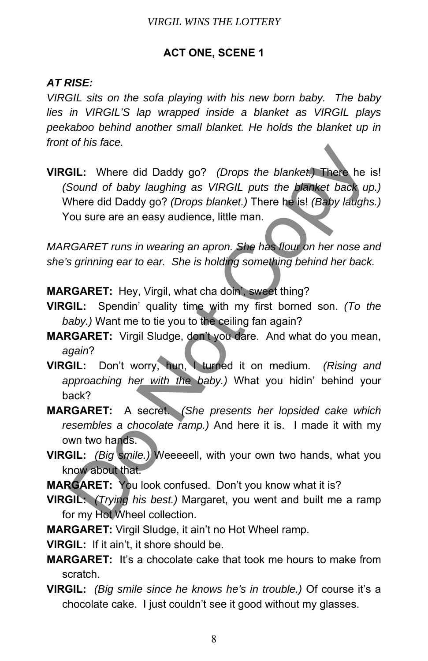# **ACT ONE, SCENE 1**

# *AT RISE:*

*VIRGIL sits on the sofa playing with his new born baby. The baby lies in VIRGIL'S lap wrapped inside a blanket as VIRGIL plays peekaboo behind another small blanket. He holds the blanket up in front of his face.* 

**VIRGIL:** Where did Daddy go? *(Drops the blanket.)* There he is! *(Sound of baby laughing as VIRGIL puts the blanket back up.)* Where did Daddy go? *(Drops blanket.)* There he is! *(Baby laughs.)* You sure are an easy audience, little man. **GIL:** Where did Daddy go? (Drops the blanket) There he is<br>Sound of baby laughing as VIRGIL puts the blanket back up<br>Where did Daddy go? (Drops blanket.) There he is! (Baby laughs<br>ou sure are an easy audience, little man.

*MARGARET runs in wearing an apron. She has flour on her nose and she's grinning ear to ear. She is holding something behind her back.* 

**MARGARET:** Hey, Virgil, what cha doin', sweet thing?

- **VIRGIL:** Spendin' quality time with my first borned son. *(To the baby.)* Want me to tie you to the ceiling fan again?
- **MARGARET:** Virgil Sludge, don't you dare. And what do you mean, *again*?
- **VIRGIL:** Don't worry, hun, I turned it on medium. *(Rising and approaching her with the baby.)* What you hidin' behind your back?
- **MARGARET:** A secret. *(She presents her lopsided cake which resembles a chocolate ramp.)* And here it is. I made it with my own two hands.
- **VIRGIL:** *(Big smile.)* Weeeeell, with your own two hands, what you know about that.

**MARGARET:** You look confused. Don't you know what it is?

- **VIRGIL:** *(Trying his best.)* Margaret, you went and built me a ramp for my Hot Wheel collection.
- **MARGARET:** Virgil Sludge, it ain't no Hot Wheel ramp.

**VIRGIL:** If it ain't, it shore should be.

- **MARGARET:** It's a chocolate cake that took me hours to make from scratch.
- **VIRGIL:** *(Big smile since he knows he's in trouble.)* Of course it's a chocolate cake. I just couldn't see it good without my glasses.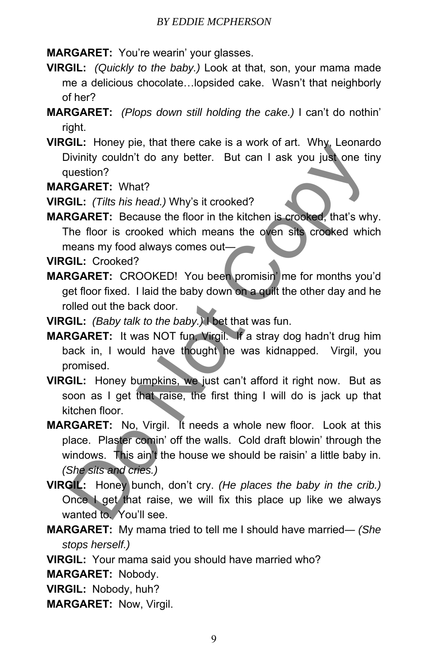**MARGARET:** You're wearin' your glasses.

- **VIRGIL:** *(Quickly to the baby.)* Look at that, son, your mama made me a delicious chocolate…lopsided cake. Wasn't that neighborly of her?
- **MARGARET:** *(Plops down still holding the cake.)* I can't do nothin' right.
- **VIRGIL:** Honey pie, that there cake is a work of art. Why, Leonardo Divinity couldn't do any better. But can I ask you just one tiny question?

**MARGARET:** What?

**VIRGIL:** *(Tilts his head.)* Why's it crooked?

- **MARGARET:** Because the floor in the kitchen is crooked, that's why. The floor is crooked which means the oven sits crooked which means my food always comes out―
- **VIRGIL:** Crooked?
- **MARGARET:** CROOKED! You been promisin' me for months you'd get floor fixed. I laid the baby down on a quilt the other day and he rolled out the back door.
- **VIRGIL:** *(Baby talk to the baby.)* I bet that was fun.
- **MARGARET:** It was NOT fun, Virgil. If a stray dog hadn't drug him back in, I would have thought he was kidnapped. Virgil, you promised.
- **VIRGIL:** Honey bumpkins, we just can't afford it right now. But as soon as I get that raise, the first thing I will do is jack up that kitchen floor.
- **MARGARET:** No, Virgil. It needs a whole new floor. Look at this place. Plaster comin' off the walls. Cold draft blowin' through the windows. This ain't the house we should be raisin' a little baby in. *(She sits and cries.)* Solution (and the back does)<br>
Divinity couldn't do any better. But can I ask you just one times<br>
ustion?<br>
CGARET: What?<br>
CGARET: Because the floor in the kitchen is crooked, that's which<br>
ne floor is crooked which means th
- **VIRGIL:** Honey bunch, don't cry. *(He places the baby in the crib.)* Once I get that raise, we will fix this place up like we always wanted to. You'll see.
- **MARGARET:** My mama tried to tell me I should have married― *(She stops herself.)*
- **VIRGIL:** Your mama said you should have married who?

**MARGARET:** Nobody.

**VIRGIL:** Nobody, huh?

**MARGARET:** Now, Virgil.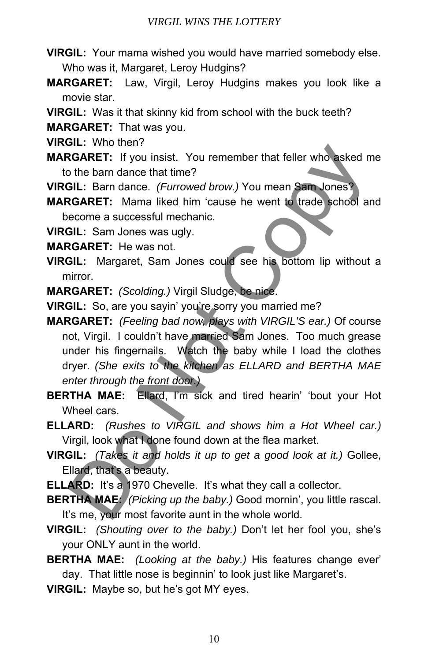- **VIRGIL:** Your mama wished you would have married somebody else. Who was it, Margaret, Leroy Hudgins?
- **MARGARET:** Law, Virgil, Leroy Hudgins makes you look like a movie star.
- **VIRGIL:** Was it that skinny kid from school with the buck teeth?

**MARGARET:** That was you.

**VIRGIL:** Who then?

- **MARGARET:** If you insist. You remember that feller who asked me to the barn dance that time?
- **VIRGIL:** Barn dance. *(Furrowed brow.)* You mean Sam Jones?

**MARGARET:** Mama liked him 'cause he went to trade school and become a successful mechanic.

**VIRGIL:** Sam Jones was ugly.

**MARGARET:** He was not.

**VIRGIL:** Margaret, Sam Jones could see his bottom lip without a mirror.

**MARGARET:** *(Scolding.)* Virgil Sludge, be nice.

**VIRGIL:** So, are you sayin' you're sorry you married me?

**MARGARET:** *(Feeling bad now, plays with VIRGIL'S ear.)* Of course not, Virgil. I couldn't have married Sam Jones. Too much grease under his fingernails. Watch the baby while I load the clothes dryer. *(She exits to the kitchen as ELLARD and BERTHA MAE enter through the front door.)* **SCARET:** If you insist. You remember that feller who asked m<br> **SCARET:** If you insist. You remember that feller who asked m<br> **SCARET:** If you insist. You remember that feller who asked m<br> **SCARET:** Bam dance. (*Furrowed b* 

**BERTHA MAE:** Ellard, I'm sick and tired hearin' 'bout your Hot Wheel cars.

- **ELLARD:** *(Rushes to VIRGIL and shows him a Hot Wheel car.)* Virgil, look what I done found down at the flea market.
- **VIRGIL:** *(Takes it and holds it up to get a good look at it.)* Gollee, Ellard, that's a beauty.
- **ELLARD:** It's a 1970 Chevelle. It's what they call a collector.

**BERTHA MAE:** *(Picking up the baby.)* Good mornin', you little rascal. It's me, your most favorite aunt in the whole world.

**VIRGIL:** *(Shouting over to the baby.)* Don't let her fool you, she's your ONLY aunt in the world.

**BERTHA MAE:** *(Looking at the baby.)* His features change ever' day. That little nose is beginnin' to look just like Margaret's.

**VIRGIL:** Maybe so, but he's got MY eyes.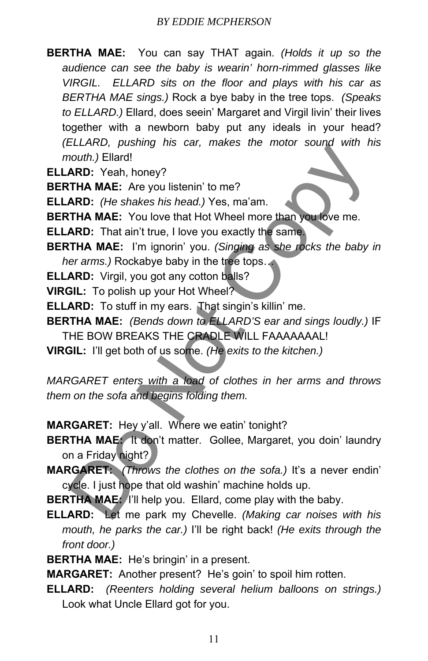**BERTHA MAE:** You can say THAT again. *(Holds it up so the audience can see the baby is wearin' horn-rimmed glasses like VIRGIL. ELLARD sits on the floor and plays with his car as BERTHA MAE sings.)* Rock a bye baby in the tree tops. *(Speaks to ELLARD.)* Ellard, does seein' Margaret and Virgil livin' their lives together with a newborn baby put any ideals in your head? *(ELLARD, pushing his car, makes the motor sound with his mouth.)* Ellard!

**ELLARD:** Yeah, honey?

**BERTHA MAE:** Are you listenin' to me?

**ELLARD:** *(He shakes his head.)* Yes, ma'am.

**BERTHA MAE:** You love that Hot Wheel more than you love me.

**ELLARD:** That ain't true, I love you exactly the same.

**BERTHA MAE:** I'm ignorin' you. *(Singing as she rocks the baby in her arms.)* Rockabye baby in the tree tops…

**ELLARD:** Virgil, you got any cotton balls?

**VIRGIL:** To polish up your Hot Wheel?

**ELLARD:** To stuff in my ears. That singin's killin' me.

**BERTHA MAE:** *(Bends down to ELLARD'S ear and sings loudly.)* IF THE BOW BREAKS THE CRADLE WILL FAAAAAAAL!

**VIRGIL:** I'll get both of us some. *(He exits to the kitchen.)*

*MARGARET enters with a load of clothes in her arms and throws them on the sofa and begins folding them.*  CLEATIVE, possiming rins car, makes the motor soand width is controlly and the states his head.) Yes, ma'am.<br> **ARD:** (He shakes his head.) Yes, ma'am.<br> **ARD:** (He shakes his head.) Yes, ma'am.<br> **ARD:** T**HA MAE:** You love t

**MARGARET:** Hey y'all. Where we eatin' tonight?

**BERTHA MAE:** It don't matter. Gollee, Margaret, you doin' laundry on a Friday night?

**MARGARET:** *(Throws the clothes on the sofa.)* It's a never endin' cycle. I just hope that old washin' machine holds up.

**BERTHA MAE:** I'll help you. Ellard, come play with the baby.

**ELLARD:** Let me park my Chevelle. *(Making car noises with his mouth, he parks the car.)* I'll be right back! *(He exits through the front door.)*

**BERTHA MAE:** He's bringin' in a present.

**MARGARET:** Another present? He's goin' to spoil him rotten.

**ELLARD:** *(Reenters holding several helium balloons on strings.)* Look what Uncle Ellard got for you.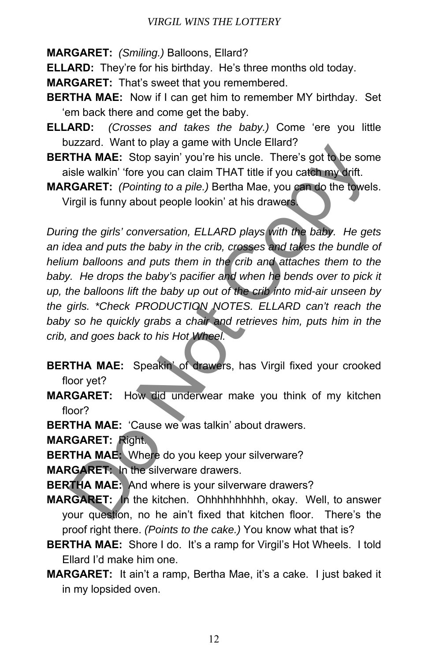#### *VIRGIL WINS THE LOTTERY*

**MARGARET:** *(Smiling.)* Balloons, Ellard?

**ELLARD:** They're for his birthday. He's three months old today.

**MARGARET:** That's sweet that you remembered.

- **BERTHA MAE:** Now if I can get him to remember MY birthday. Set 'em back there and come get the baby.
- **ELLARD:** *(Crosses and takes the baby.)* Come 'ere you little buzzard. Want to play a game with Uncle Ellard?
- **BERTHA MAE:** Stop sayin' you're his uncle. There's got to be some aisle walkin' 'fore you can claim THAT title if you catch my drift.
- **MARGARET:** *(Pointing to a pile.)* Bertha Mae, you can do the towels. Virgil is funny about people lookin' at his drawers.

*During the girls' conversation, ELLARD plays with the baby. He gets an idea and puts the baby in the crib, crosses and takes the bundle of helium balloons and puts them in the crib and attaches them to the*  baby. He drops the baby's pacifier and when he bends over to pick it *up, the balloons lift the baby up out of the crib into mid-air unseen by the girls. \*Check PRODUCTION NOTES. ELLARD can't reach the baby so he quickly grabs a chair and retrieves him, puts him in the crib, and goes back to his Hot Wheel.*  Strain. Vent to leave a gaint with cheate.<br>
THA MAE: Stop sayin' you're his uncle. There's got to be somisle walkin' fore you can claim THAT title if you catch my drift.<br>
RGARET: (Pointing to a pile.) Bertha Mae, you can d

**BERTHA MAE:** Speakin' of drawers, has Virgil fixed your crooked floor yet?

**MARGARET:** How did underwear make you think of my kitchen floor?

**BERTHA MAE:** 'Cause we was talkin' about drawers.

- **MARGARET:** Right.
- **BERTHA MAE:** Where do you keep your silverware?

**MARGARET:** In the silverware drawers.

**BERTHA MAE:** And where is your silverware drawers?

- **MARGARET:** In the kitchen. Ohhhhhhhhhh, okay. Well, to answer your question, no he ain't fixed that kitchen floor. There's the proof right there. *(Points to the cake.)* You know what that is?
- **BERTHA MAE:** Shore I do. It's a ramp for Virgil's Hot Wheels. I told Ellard I'd make him one.
- **MARGARET:** It ain't a ramp, Bertha Mae, it's a cake. I just baked it in my lopsided oven.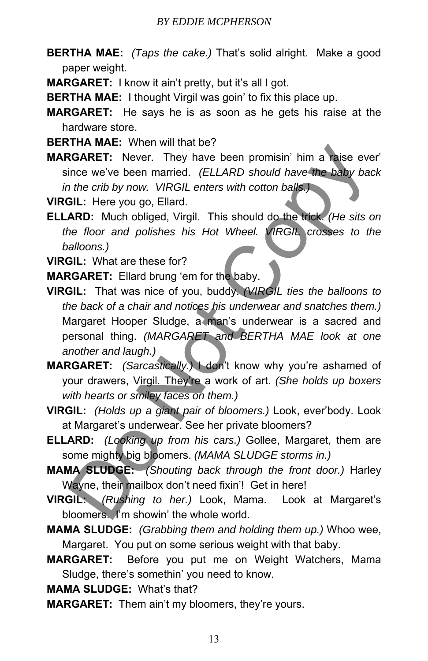- **BERTHA MAE:** *(Taps the cake.)* That's solid alright. Make a good paper weight.
- **MARGARET:** I know it ain't pretty, but it's all I got.
- **BERTHA MAE:** I thought Virgil was goin' to fix this place up.
- **MARGARET:** He says he is as soon as he gets his raise at the hardware store.
- **BERTHA MAE:** When will that be?
- **MARGARET:** Never. They have been promisin' him a raise ever' since we've been married. *(ELLARD should have the baby back in the crib by now. VIRGIL enters with cotton balls.)*

**VIRGIL:** Here you go, Ellard.

**ELLARD:** Much obliged, Virgil. This should do the trick. *(He sits on the floor and polishes his Hot Wheel. VIRGIL crosses to the balloons.)*

**VIRGIL:** What are these for?

**MARGARET:** Ellard brung 'em for the baby.

- **VIRGIL:** That was nice of you, buddy. *(VIRGIL ties the balloons to the back of a chair and notices his underwear and snatches them.)* Margaret Hooper Sludge, a man's underwear is a sacred and personal thing. *(MARGARET and BERTHA MAE look at one another and laugh.)* **CONTET:** Were with the total of the basis of the basis of the basis of the basis of the crib by now. VIRGIL enters with cotton balls.<br> **SGARET:** Never. They have been promisin' him a raise ever-<br>
ince we've been married.
- **MARGARET:** *(Sarcastically.)* I don't know why you're ashamed of your drawers, Virgil. They're a work of art. *(She holds up boxers with hearts or smiley faces on them.)*
- **VIRGIL:** *(Holds up a giant pair of bloomers.)* Look, ever'body. Look at Margaret's underwear. See her private bloomers?
- **ELLARD:** *(Looking up from his cars.)* Gollee, Margaret, them are some mighty big bloomers. *(MAMA SLUDGE storms in.)*
- **MAMA SLUDGE:** *(Shouting back through the front door.)* Harley Wayne, their mailbox don't need fixin'! Get in here!
- **VIRGIL:** *(Rushing to her.)* Look, Mama. Look at Margaret's bloomers. I'm showin' the whole world.
- **MAMA SLUDGE:** *(Grabbing them and holding them up.)* Whoo wee, Margaret. You put on some serious weight with that baby.
- **MARGARET:** Before you put me on Weight Watchers, Mama Sludge, there's somethin' you need to know.

**MAMA SLUDGE:** What's that?

**MARGARET:** Them ain't my bloomers, they're yours.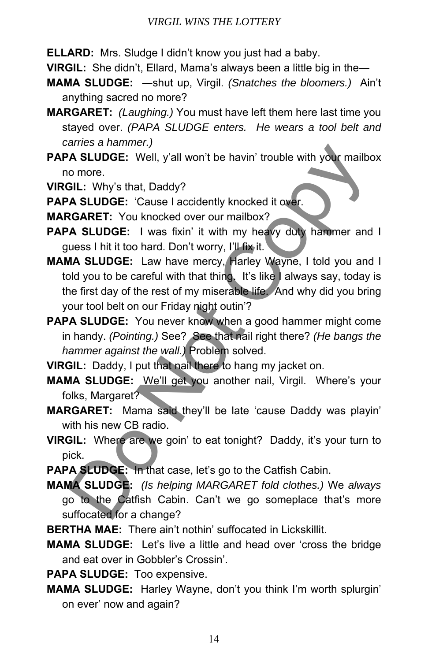**ELLARD:** Mrs. Sludge I didn't know you just had a baby.

**VIRGIL:** She didn't, Ellard, Mama's always been a little big in the―

- **MAMA SLUDGE: ―**shut up, Virgil. *(Snatches the bloomers.)* Ain't anything sacred no more?
- **MARGARET:** *(Laughing.)* You must have left them here last time you stayed over. *(PAPA SLUDGE enters. He wears a tool belt and carries a hammer.)*
- **PAPA SLUDGE:** Well, y'all won't be havin' trouble with your mailbox no more.

**VIRGIL:** Why's that, Daddy?

PAPA SLUDGE: 'Cause I accidently knocked it over.

**MARGARET:** You knocked over our mailbox?

- PAPA SLUDGE: I was fixin' it with my heavy duty hammer and I guess I hit it too hard. Don't worry, I'll fix it.
- **MAMA SLUDGE:** Law have mercy, Harley Wayne, I told you and I told you to be careful with that thing. It's like I always say, today is the first day of the rest of my miserable life. And why did you bring your tool belt on our Friday night outin'? The Strummer, and the latter of the Courts of the Complete Colls (The Completed Considers The Considered Considered Considered Considered Considered Considered Considered Considered Considered Considered Considers The Visi
- **PAPA SLUDGE:** You never know when a good hammer might come in handy. *(Pointing.)* See? See that nail right there? *(He bangs the hammer against the wall.)* Problem solved.

**VIRGIL:** Daddy, I put that nail there to hang my jacket on.

- **MAMA SLUDGE:** We'll get you another nail, Virgil. Where's your folks, Margaret?
- **MARGARET:** Mama said they'll be late 'cause Daddy was playin' with his new CB radio.
- **VIRGIL:** Where are we goin' to eat tonight? Daddy, it's your turn to pick.
- **PAPA SLUDGE:** In that case, let's go to the Catfish Cabin.

**MAMA SLUDGE:** *(Is helping MARGARET fold clothes.)* We *always* go to the Catfish Cabin. Can't we go someplace that's more suffocated for a change?

- **BERTHA MAE:** There ain't nothin' suffocated in Lickskillit.
- **MAMA SLUDGE:** Let's live a little and head over 'cross the bridge and eat over in Gobbler's Crossin'.

**PAPA SLUDGE:** Too expensive.

**MAMA SLUDGE:** Harley Wayne, don't you think I'm worth splurgin' on ever' now and again?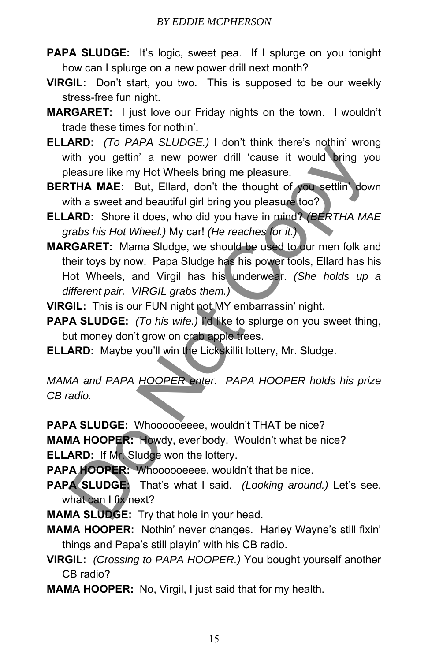- **PAPA SLUDGE:** It's logic, sweet pea. If I splurge on you tonight how can I splurge on a new power drill next month?
- **VIRGIL:** Don't start, you two. This is supposed to be our weekly stress-free fun night.
- **MARGARET:** I just love our Friday nights on the town. I wouldn't trade these times for nothin'.
- **ELLARD:** *(To PAPA SLUDGE.)* I don't think there's nothin' wrong with you gettin' a new power drill 'cause it would bring you pleasure like my Hot Wheels bring me pleasure.
- **BERTHA MAE:** But, Ellard, don't the thought of you settlin' down with a sweet and beautiful girl bring you pleasure too?
- **ELLARD:** Shore it does, who did you have in mind? *(BERTHA MAE grabs his Hot Wheel.)* My car! *(He reaches for it.)*
- **MARGARET:** Mama Sludge, we should be used to our men folk and their toys by now. Papa Sludge has his power tools, Ellard has his Hot Wheels, and Virgil has his underwear. *(She holds up a different pair. VIRGIL grabs them.)* **EXAMPLE 1999**<br> **EXAMPLE 1999** (**ACCOLOGY**) To the time we see thrown when the season in the season like my Hot Wheels bring me pleasure.<br> **COPY (THA MAE:** But, Ellard, don't the thought of you settling dow<br> **IRRD:** Shore

**VIRGIL:** This is our FUN night not MY embarrassin' night.

- **PAPA SLUDGE:** *(To his wife.)* I'd like to splurge on you sweet thing, but money don't grow on crab apple trees.
- **ELLARD:** Maybe you'll win the Lickskillit lottery, Mr. Sludge.

*MAMA and PAPA HOOPER enter. PAPA HOOPER holds his prize CB radio.*

PAPA SLUDGE: Whoooooeeee, wouldn't THAT be nice? **MAMA HOOPER:** Howdy, ever'body. Wouldn't what be nice?

**ELLARD:** If Mr. Sludge won the lottery.

- PAPA HOOPER: Whoooooeeee, wouldn't that be nice.
- **PAPA SLUDGE:** That's what I said. *(Looking around.)* Let's see, what can I fix next?
- **MAMA SLUDGE:** Try that hole in your head.
- **MAMA HOOPER:** Nothin' never changes. Harley Wayne's still fixin' things and Papa's still playin' with his CB radio.
- **VIRGIL:** *(Crossing to PAPA HOOPER.)* You bought yourself another CB radio?
- **MAMA HOOPER:** No, Virgil, I just said that for my health.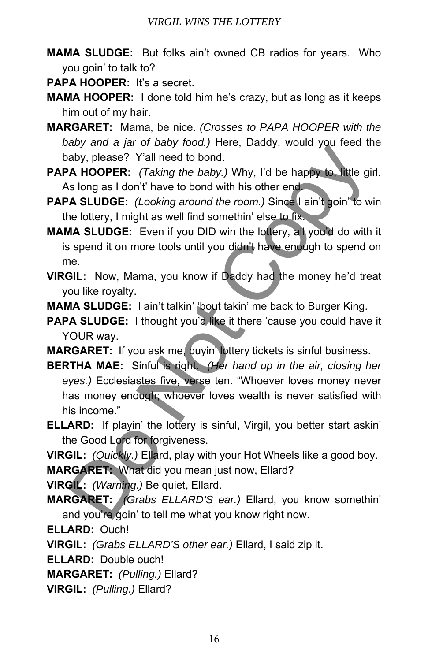**MAMA SLUDGE:** But folks ain't owned CB radios for years. Who you goin' to talk to?

**PAPA HOOPER:** It's a secret.

- **MAMA HOOPER:** I done told him he's crazy, but as long as it keeps him out of my hair.
- **MARGARET:** Mama, be nice. *(Crosses to PAPA HOOPER with the baby and a jar of baby food.)* Here, Daddy, would you feed the baby, please? Y'all need to bond.
- **PAPA HOOPER:** *(Taking the baby.)* Why, I'd be happy to, little girl. As long as I don't' have to bond with his other end.
- **PAPA SLUDGE:** *(Looking around the room.)* Since I ain't goin' to win the lottery, I might as well find somethin' else to fix.
- **MAMA SLUDGE:** Even if you DID win the lottery, all you'd do with it is spend it on more tools until you didn't have enough to spend on me.
- **VIRGIL:** Now, Mama, you know if Daddy had the money he'd treat you like royalty.

**MAMA SLUDGE:** I ain't talkin' 'bout takin' me back to Burger King.

- **PAPA SLUDGE:** I thought you'd like it there 'cause you could have it YOUR way.
- **MARGARET:** If you ask me, buyin' lottery tickets is sinful business.
- **BERTHA MAE:** Sinful is right. *(Her hand up in the air, closing her eyes.)* Ecclesiastes five, verse ten. "Whoever loves money never has money enough; whoever loves wealth is never satisfied with his income." aby and a fair of basis and the baby. Discussive and a stay and a fair of basis and a HOOPER: (Taking the baby.) Why, I'd be happy to little gis long as I don't have to bond with his other end<br>A HOOPER: (Taking the baby.)
- **ELLARD:** If playin' the lottery is sinful, Virgil, you better start askin' the Good Lord for forgiveness.
- **VIRGIL:** *(Quickly.)* Ellard, play with your Hot Wheels like a good boy.

**MARGARET:** What did you mean just now, Ellard?

**VIRGIL:** *(Warning.)* Be quiet, Ellard.

**MARGARET:** *(Grabs ELLARD'S ear.)* Ellard, you know somethin' and you're goin' to tell me what you know right now.

**ELLARD:** Ouch!

**VIRGIL:** *(Grabs ELLARD'S other ear.)* Ellard, I said zip it.

**ELLARD:** Double ouch!

**MARGARET:** *(Pulling.)* Ellard?

**VIRGIL:** *(Pulling.)* Ellard?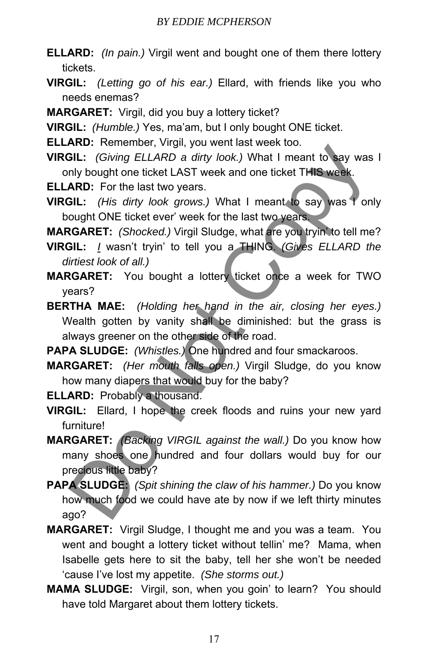- **ELLARD:** *(In pain.)* Virgil went and bought one of them there lottery tickets.
- **VIRGIL:** *(Letting go of his ear.)* Ellard, with friends like you who needs enemas?

**MARGARET:** Virgil, did you buy a lottery ticket?

**VIRGIL:** *(Humble.)* Yes, ma'am, but I only bought ONE ticket.

**ELLARD:** Remember, Virgil, you went last week too.

**VIRGIL:** *(Giving ELLARD a dirty look.)* What I meant to say was I only bought one ticket LAST week and one ticket THIS week.

**ELLARD:** For the last two years.

**VIRGIL:** *(His dirty look grows.)* What I meant to say was I only bought ONE ticket ever' week for the last two years.

**MARGARET:** *(Shocked.)* Virgil Sludge, what are you tryin' to tell me?

**VIRGIL:** *I* wasn't tryin' to tell you a THING. *(Gives ELLARD the dirtiest look of all.)*

**MARGARET:** You bought a lottery ticket once a week for TWO years?

**BERTHA MAE:** *(Holding her hand in the air, closing her eyes.)* Wealth gotten by vanity shall be diminished: but the grass is always greener on the other side of the road. **EIL:** (*Giving ELLARD a dirty look.*) What I meant to say was all:<br> **EIL:** (*Giving ELLARD a dirty look.*) What I meant to say was high bought one ticket LAST week and one ticket THIS week.<br> **ARD:** For the last two years.

**PAPA SLUDGE:** *(Whistles.)* One hundred and four smackaroos.

**MARGARET:** *(Her mouth falls open.)* Virgil Sludge, do you know how many diapers that would buy for the baby?

**ELLARD:** Probably a thousand.

**VIRGIL:** Ellard, I hope the creek floods and ruins your new yard furniture!

**MARGARET:** *(Backing VIRGIL against the wall.)* Do you know how many shoes one hundred and four dollars would buy for our precious little baby?

**PAPA SLUDGE:** *(Spit shining the claw of his hammer.)* Do you know how much food we could have ate by now if we left thirty minutes ago?

- **MARGARET:** Virgil Sludge, I thought me and you was a team. You went and bought a lottery ticket without tellin' me? Mama, when Isabelle gets here to sit the baby, tell her she won't be needed 'cause I've lost my appetite. *(She storms out.)*
- **MAMA SLUDGE:** Virgil, son, when you goin' to learn? You should have told Margaret about them lottery tickets.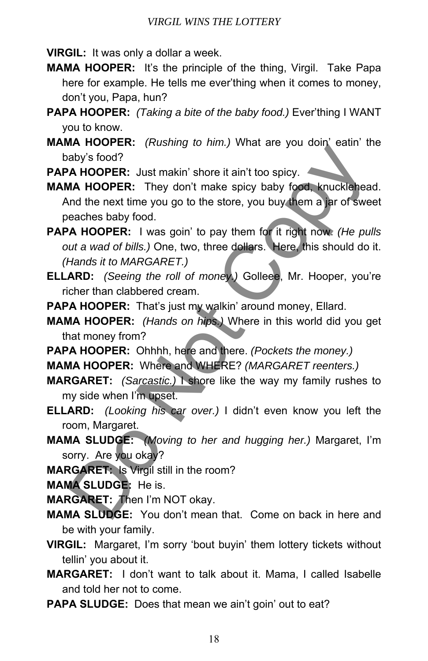**VIRGIL:** It was only a dollar a week.

- **MAMA HOOPER:** It's the principle of the thing, Virgil. Take Papa here for example. He tells me ever'thing when it comes to money, don't you, Papa, hun?
- **PAPA HOOPER:** *(Taking a bite of the baby food.)* Ever'thing I WANT you to know.
- **MAMA HOOPER:** *(Rushing to him.)* What are you doin' eatin' the baby's food?

**PAPA HOOPER:** Just makin' shore it ain't too spicy.

**MAMA HOOPER:** They don't make spicy baby food, knucklehead. And the next time you go to the store, you buy them a jar of sweet peaches baby food.

**PAPA HOOPER:** I was goin' to pay them for it right now. *(He pulls out a wad of bills.)* One, two, three dollars. Here, this should do it. *(Hands it to MARGARET.)* **Example 2**<br> **Aby's food?**<br> **Aby's food?**<br> **Aby's food?**<br> **Aby's food?**<br> **Aby Sood?**<br> **Abididence also foot** make spicy baby food, knucklenea<br> **Abididence baby food.**<br> **A HOOPER:** I was goin' to pay them for it right now.

**ELLARD:** *(Seeing the roll of money.)* Golleee, Mr. Hooper, you're richer than clabbered cream.

PAPA HOOPER: That's just my walkin' around money, Ellard.

**MAMA HOOPER:** *(Hands on hips.)* Where in this world did you get that money from?

- **PAPA HOOPER:** Ohhhh, here and there. *(Pockets the money.)* **MAMA HOOPER:** Where and WHERE? *(MARGARET reenters.)*
- **MARGARET:** *(Sarcastic.)* I shore like the way my family rushes to my side when I'm upset.

**ELLARD:** *(Looking his car over.)* I didn't even know you left the room, Margaret.

**MAMA SLUDGE:** *(Moving to her and hugging her.)* Margaret, I'm sorry. Are you okay?

**MARGARET:** Is Virgil still in the room?

**MAMA SLUDGE:** He is.

**MARGARET:** Then I'm NOT okay.

- **MAMA SLUDGE:** You don't mean that. Come on back in here and be with your family.
- **VIRGIL:** Margaret, I'm sorry 'bout buyin' them lottery tickets without tellin' you about it.
- **MARGARET:** I don't want to talk about it. Mama, I called Isabelle and told her not to come.
- **PAPA SLUDGE:** Does that mean we ain't goin' out to eat?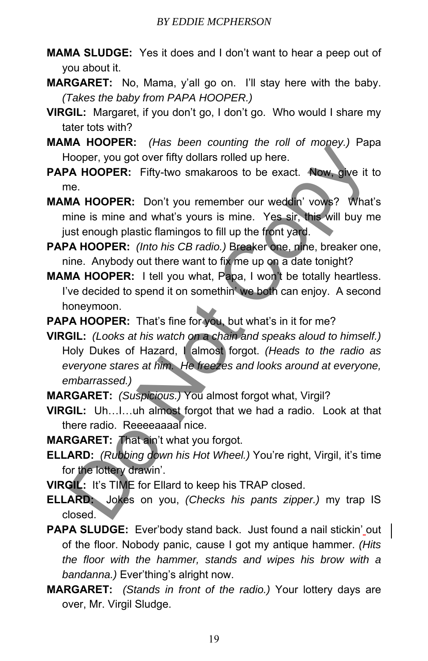- **MAMA SLUDGE:** Yes it does and I don't want to hear a peep out of you about it.
- **MARGARET:** No, Mama, y'all go on. I'll stay here with the baby. *(Takes the baby from PAPA HOOPER.)*
- **VIRGIL:** Margaret, if you don't go, I don't go. Who would I share my tater tots with?
- **MAMA HOOPER:** *(Has been counting the roll of money.)* Papa Hooper, you got over fifty dollars rolled up here.
- **PAPA HOOPER:** Fifty-two smakaroos to be exact. Now, give it to me.
- **MAMA HOOPER:** Don't you remember our weddin' vows? What's mine is mine and what's yours is mine. Yes sir, this will buy me just enough plastic flamingos to fill up the front yard.
- **PAPA HOOPER:** *(Into his CB radio.)* Breaker one, nine, breaker one, nine. Anybody out there want to fix me up on a date tonight?
- **MAMA HOOPER:** I tell you what, Papa, I won't be totally heartless. I've decided to spend it on somethin' we both can enjoy. A second honeymoon.
- PAPA HOOPER: That's fine for you, but what's in it for me?
- **VIRGIL:** *(Looks at his watch on a chain and speaks aloud to himself.)* Holy Dukes of Hazard, I almost forgot. *(Heads to the radio as everyone stares at him. He freezes and looks around at everyone, embarrassed.)* Hotoper, you got over fifty dollars rollar on hero. Thosey, y equiding the formulation of the **A HOOPER:** Fifty-two smakaroos to be exact. Now, give it include is mine and what's yours is mine. Yes sir, this will buy m sit
- **MARGARET:** *(Suspicious.)* You almost forgot what, Virgil?
- **VIRGIL:** Uh…I…uh almost forgot that we had a radio. Look at that there radio. Reeeeaaaal nice.
- **MARGARET:** That ain't what you forgot.
- **ELLARD:** *(Rubbing down his Hot Wheel.)* You're right, Virgil, it's time for the lottery drawin'.
- **VIRGIL:** It's TIME for Ellard to keep his TRAP closed.
- **ELLARD:** Jokes on you, *(Checks his pants zipper.)* my trap IS closed.
- **PAPA SLUDGE:** Ever'body stand back. Just found a nail stickin' out of the floor. Nobody panic, cause I got my antique hammer. *(Hits the floor with the hammer, stands and wipes his brow with a bandanna.)* Ever'thing's alright now.
- **MARGARET:** *(Stands in front of the radio.)* Your lottery days are over, Mr. Virgil Sludge.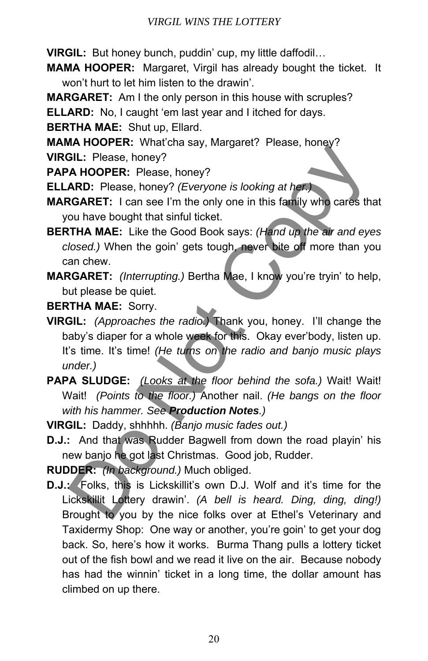**VIRGIL:** But honey bunch, puddin' cup, my little daffodil…

- **MAMA HOOPER:** Margaret, Virgil has already bought the ticket. It won't hurt to let him listen to the drawin'.
- **MARGARET:** Am I the only person in this house with scruples?

**ELLARD:** No, I caught 'em last year and I itched for days.

**BERTHA MAE:** Shut up, Ellard.

**MAMA HOOPER:** What'cha say, Margaret? Please, honey?

**VIRGIL:** Please, honey?

**PAPA HOOPER:** Please, honey?

**ELLARD:** Please, honey? *(Everyone is looking at her.)*

**MARGARET:** I can see I'm the only one in this family who cares that you have bought that sinful ticket.

- **BERTHA MAE:** Like the Good Book says: *(Hand up the air and eyes closed.)* When the goin' gets tough, never bite off more than you can chew.
- **MARGARET:** *(Interrupting.)* Bertha Mae, I know you're tryin' to help, but please be quiet.

**BERTHA MAE:** Sorry.

- **VIRGIL:** *(Approaches the radio.)* Thank you, honey. I'll change the baby's diaper for a whole week for this. Okay ever'body, listen up. It's time. It's time! *(He turns on the radio and banjo music plays under.)* **EXECUTE:** What the manning and the manning of the manning of the manning of the mini-<br>
Till: Please, honey? (*Everyone is looking at her*, honey?<br> **ARD:** Please, honey? (*Everyone is looking at her*, **Consection**<br> **ROMET:**
- **PAPA SLUDGE:** *(Looks at the floor behind the sofa.)* Wait! Wait! Wait! *(Points to the floor.)* Another nail. *(He bangs on the floor with his hammer. See Production Notes.)*
- **VIRGIL:** Daddy, shhhhh. *(Banjo music fades out.)*
- **D.J.:** And that was Rudder Bagwell from down the road playin' his new banjo he got last Christmas. Good job, Rudder.

**RUDDER:** *(In background.)* Much obliged.

**D.J.:** Folks, this is Lickskillit's own D.J. Wolf and it's time for the Lickskillit Lottery drawin'. *(A bell is heard. Ding, ding, ding!)* Brought to you by the nice folks over at Ethel's Veterinary and Taxidermy Shop: One way or another, you're goin' to get your dog back. So, here's how it works. Burma Thang pulls a lottery ticket out of the fish bowl and we read it live on the air. Because nobody has had the winnin' ticket in a long time, the dollar amount has climbed on up there.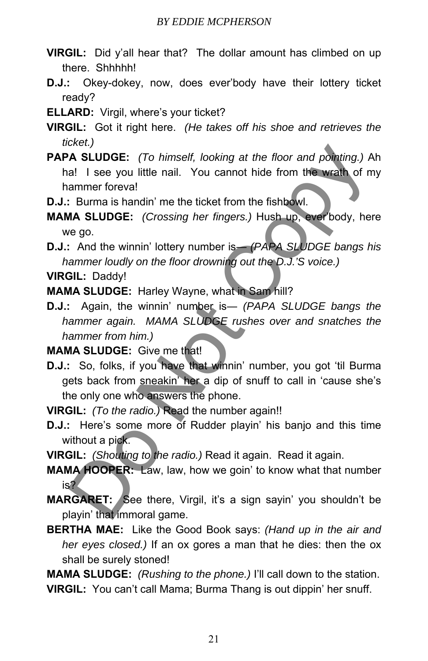- **VIRGIL:** Did y'all hear that? The dollar amount has climbed on up there. Shhhhh!
- **D.J.:** Okey-dokey, now, does ever'body have their lottery ticket ready?
- **ELLARD:** Virgil, where's your ticket?
- **VIRGIL:** Got it right here. *(He takes off his shoe and retrieves the ticket.)*
- **PAPA SLUDGE:** *(To himself, looking at the floor and pointing.)* Ah ha! I see you little nail. You cannot hide from the wrath of my hammer foreva! Maximum is the floor and pointing.) A<br>
A SLUDGE: (To himself, looking at the floor and pointing.) A<br>
al 1 see you little nail. You cannot hide from the wrath of m<br>
ammer foreval<br>
Burma is handin' me the ticket from the fis
- **D.J.:** Burma is handin' me the ticket from the fishbowl.
- **MAMA SLUDGE:** *(Crossing her fingers.)* Hush up, ever'body, here we go.
- **D.J.:** And the winnin' lottery number is— *(PAPA SLUDGE bangs his hammer loudly on the floor drowning out the D.J.'S voice.)*

**VIRGIL:** Daddy!

**MAMA SLUDGE:** Harley Wayne, what in Sam hill?

**D.J.:** Again, the winnin' number is― *(PAPA SLUDGE bangs the hammer again. MAMA SLUDGE rushes over and snatches the hammer from him.)*

**MAMA SLUDGE:** Give me that!

- **D.J.:** So, folks, if you have that winnin' number, you got 'til Burma gets back from sneakin' her a dip of snuff to call in 'cause she's the only one who answers the phone.
- **VIRGIL:** *(To the radio.)* Read the number again!!
- **D.J.:** Here's some more of Rudder playin' his banjo and this time without a pick.
- **VIRGIL:** *(Shouting to the radio.)* Read it again. Read it again.
- **MAMA HOOPER:** Law, law, how we goin' to know what that number is?
- **MARGARET:** See there, Virgil, it's a sign sayin' you shouldn't be playin' that immoral game.
- **BERTHA MAE:** Like the Good Book says: *(Hand up in the air and her eyes closed.)* If an ox gores a man that he dies: then the ox shall be surely stoned!

**MAMA SLUDGE:** *(Rushing to the phone.)* I'll call down to the station.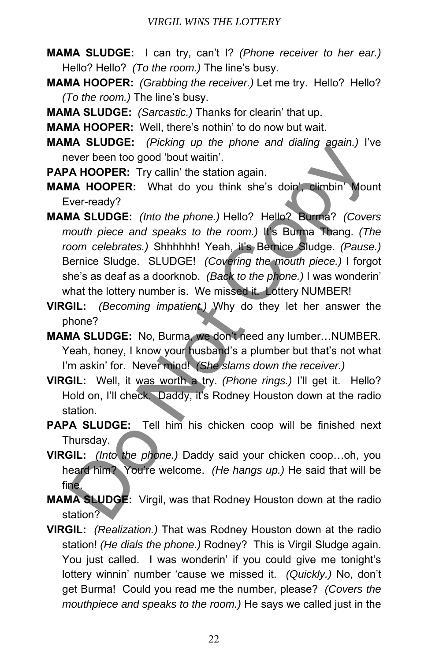- **MAMA SLUDGE:** I can try, can't I? *(Phone receiver to her ear.)* Hello? Hello? *(To the room.)* The line's busy.
- **MAMA HOOPER:** *(Grabbing the receiver.)* Let me try. Hello? Hello? *(To the room.)* The line's busy.
- **MAMA SLUDGE:** *(Sarcastic.)* Thanks for clearin' that up.
- **MAMA HOOPER:** Well, there's nothin' to do now but wait.
- **MAMA SLUDGE:** *(Picking up the phone and dialing again.)* I've never been too good 'bout waitin'.
- **PAPA HOOPER:** Try callin' the station again.
- **MAMA HOOPER:** What do you think she's doin', climbin' Mount Ever-ready?
- **MAMA SLUDGE:** *(Into the phone.)* Hello? Hello? Burma? *(Covers mouth piece and speaks to the room.)* It's Burma Thang. *(The room celebrates.)* Shhhhhh! Yeah, it's Bernice Sludge. *(Pause.)* Bernice Sludge. SLUDGE! *(Covering the mouth piece.)* I forgot she's as deaf as a doorknob. *(Back to the phone.)* I was wonderin' what the lottery number is. We missed it. Lottery NUMBER! ever been too good 'bout waith'.<br>
Wever been too good 'bout waith'.<br>
A HOOPER: Try callin' the station again.<br>
MA HOOPER: Try callin' the station again.<br>
MA SLUDGE: (Into the phone.) Hello? Hello? Burma? (Cover<br>
not the ie
- **VIRGIL:** *(Becoming impatient.)* Why do they let her answer the phone?
- **MAMA SLUDGE:** No, Burma, we don't need any lumber…NUMBER. Yeah, honey, I know your husband's a plumber but that's not what I'm askin' for. Never mind! *(She slams down the receiver.)*
- **VIRGIL:** Well, it was worth a try. *(Phone rings.)* I'll get it. Hello? Hold on, I'll check. Daddy, it's Rodney Houston down at the radio station.
- PAPA SLUDGE: Tell him his chicken coop will be finished next Thursday.
- **VIRGIL:** *(Into the phone.)* Daddy said your chicken coop…oh, you heard him? You're welcome. *(He hangs up.)* He said that will be fine.
- **MAMA SLUDGE:** Virgil, was that Rodney Houston down at the radio station?
- **VIRGIL:** *(Realization.)* That was Rodney Houston down at the radio station! *(He dials the phone.)* Rodney? This is Virgil Sludge again. You just called. I was wonderin' if you could give me tonight's lottery winnin' number 'cause we missed it. *(Quickly.)* No, don't get Burma! Could you read me the number, please? *(Covers the mouthpiece and speaks to the room.)* He says we called just in the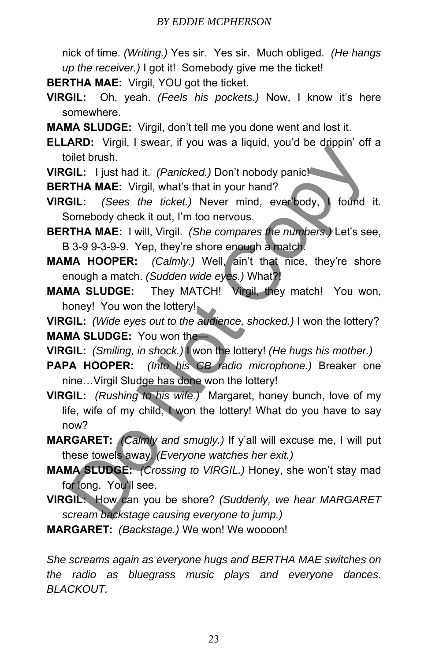nick of time. *(Writing.)* Yes sir. Yes sir. Much obliged. *(He hangs up the receiver.)* I got it! Somebody give me the ticket!

**BERTHA MAE:** Virgil, YOU got the ticket.

- **VIRGIL:** Oh, yeah. *(Feels his pockets.)* Now, I know it's here somewhere.
- **MAMA SLUDGE:** Virgil, don't tell me you done went and lost it.

**ELLARD:** Virgil, I swear, if you was a liquid, you'd be drippin' off a toilet brush.

**VIRGIL:** I just had it. *(Panicked.)* Don't nobody panic!

**BERTHA MAE:** Virgil, what's that in your hand?

**VIRGIL:** *(Sees the ticket.)* Never mind, ever'body, I found it. Somebody check it out, I'm too nervous.

**BERTHA MAE:** I will, Virgil. *(She compares the numbers.)* Let's see, B 3-9 9-3-9-9. Yep, they're shore enough a match.

**MAMA HOOPER:** *(Calmly.)* Well, ain't that nice, they're shore enough a match. *(Sudden wide eyes.)* What?!

**MAMA SLUDGE:** They MATCH! Virgil, they match! You won, honey! You won the lottery!

**VIRGIL:** *(Wide eyes out to the audience, shocked.)* I won the lottery? **MAMA SLUDGE:** You won the―

**VIRGIL:** *(Smiling, in shock.)* I won the lottery! *(He hugs his mother.)*

**PAPA HOOPER:** *(Into his CB radio microphone.)* Breaker one nine…Virgil Sludge has done won the lottery!

**VIRGIL:** *(Rushing to his wife.)* Margaret, honey bunch, love of my life, wife of my child, I won the lottery! What do you have to say now? Niet brush. The time is the time of the broad of the state of the state of the time that is the time of the time of the time of the time of the time of the time of the time of the time of the time of the time of the time o

- **MARGARET:** *(Calmly and smugly.)* If y'all will excuse me, I will put these towels away. *(Everyone watches her exit.)*
- **MAMA SLUDGE:** *(Crossing to VIRGIL.)* Honey, she won't stay mad for long. You'll see.
- **VIRGIL:** How can you be shore? *(Suddenly, we hear MARGARET scream backstage causing everyone to jump.)*
- **MARGARET:** *(Backstage.)* We won! We woooon!

*She screams again as everyone hugs and BERTHA MAE switches on the radio as bluegrass music plays and everyone dances. BLACKOUT.*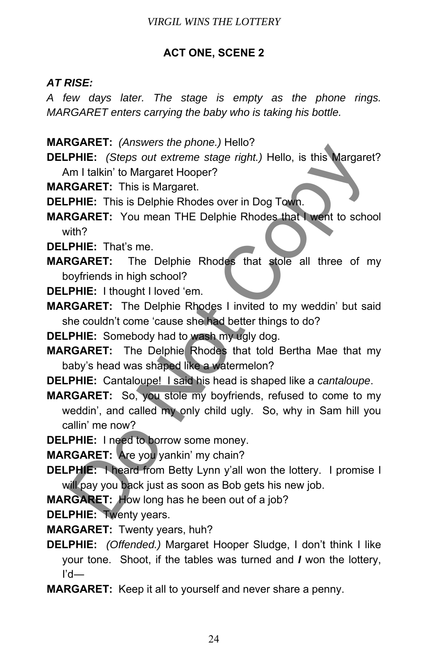# **ACT ONE, SCENE 2**

# *AT RISE:*

*A few days later. The stage is empty as the phone rings. MARGARET enters carrying the baby who is taking his bottle.* 

- **MARGARET:** *(Answers the phone.)* Hello?
- **DELPHIE:** *(Steps out extreme stage right.)* Hello, is this Margaret? Am I talkin' to Margaret Hooper?
- **MARGARET:** This is Margaret.
- **DELPHIE:** This is Delphie Rhodes over in Dog Town.
- **MARGARET:** You mean THE Delphie Rhodes that I went to school with?
- **DELPHIE:** That's me.
- **MARGARET:** The Delphie Rhodes that stole all three of my boyfriends in high school?
- **DELPHIE:** I thought I loved 'em.
- **MARGARET:** The Delphie Rhodes I invited to my weddin' but said she couldn't come 'cause she had better things to do?
- **DELPHIE:** Somebody had to wash my ugly dog.
- **MARGARET:** The Delphie Rhodes that told Bertha Mae that my baby's head was shaped like a watermelon?
- **DELPHIE:** Cantaloupe! I said his head is shaped like a *cantaloupe*.
- **MARGARET:** So, you stole my boyfriends, refused to come to my weddin', and called my only child ugly. So, why in Sam hill you callin' me now? **CANCT:** (Steps out extreme stage right) Hello, is this Margaret<br>
PHIE: (Steps out extreme stage right) Hello, is this Margaret<br>
m I talkin' to Margaret Hooper?<br> **CGARET:** This is Delphie Rhodes over in Dog Town.<br> **CGARET:**
- **DELPHIE:** I need to borrow some money.
- **MARGARET:** Are you yankin' my chain?
- **DELPHIE:** I heard from Betty Lynn y'all won the lottery. I promise I will pay you back just as soon as Bob gets his new job.
- **MARGARET:** How long has he been out of a job?
- **DELPHIE:** Twenty years.
- **MARGARET:** Twenty years, huh?
- **DELPHIE:** *(Offended.)* Margaret Hooper Sludge, I don't think I like your tone. Shoot, if the tables was turned and *I* won the lottery, I'd―
- **MARGARET:** Keep it all to yourself and never share a penny.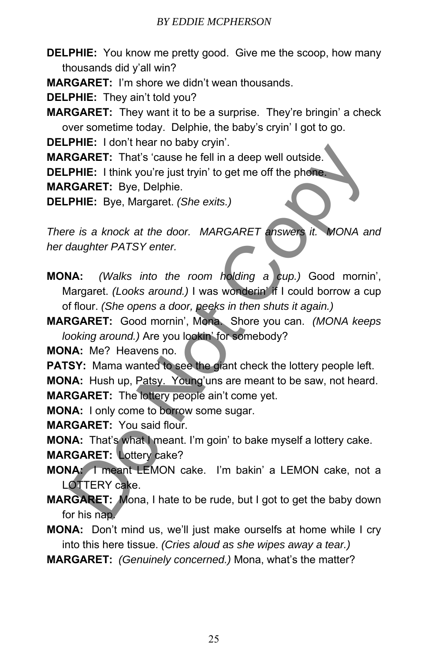**DELPHIE:** You know me pretty good. Give me the scoop, how many thousands did y'all win?

**MARGARET:** I'm shore we didn't wean thousands.

**DELPHIE:** They ain't told you?

**MARGARET:** They want it to be a surprise. They're bringin' a check over sometime today. Delphie, the baby's cryin' I got to go.

**DELPHIE:** I don't hear no baby cryin'.

**MARGARET:** That's 'cause he fell in a deep well outside.

**DELPHIE:** I think you're just tryin' to get me off the phone.

**MARGARET:** Bye, Delphie.

**DELPHIE:** Bye, Margaret. *(She exits.)*

*There is a knock at the door. MARGARET answers it. MONA and her daughter PATSY enter.* 

**MONA:** *(Walks into the room holding a cup.)* Good mornin', Margaret. *(Looks around.)* I was wonderin' if I could borrow a cup of flour. *(She opens a door, peeks in then shuts it again.)* **CONTRET:** That's cause he fell in a deep well outside.<br> **RGARET:** That's cause he fell in a deep well outside.<br> **PHIE:** I think you're just tryin' to get me off the phone.<br> **RGARET:** Bye, Delphie.<br> **PHIE:** Bye, Margaret.

**MARGARET:** Good mornin', Mona. Shore you can. *(MONA keeps looking around.)* Are you lookin' for somebody?

**MONA:** Me? Heavens no.

**PATSY:** Mama wanted to see the giant check the lottery people left.

**MONA:** Hush up, Patsy. Young'uns are meant to be saw, not heard.

**MARGARET:** The lottery people ain't come yet.

**MONA:** I only come to borrow some sugar.

**MARGARET:** You said flour.

**MONA:** That's what I meant. I'm goin' to bake myself a lottery cake.

**MARGARET:** Lottery cake?

**MONA:** I meant LEMON cake. I'm bakin' a LEMON cake, not a LOTTERY cake.

**MARGARET:** Mona, I hate to be rude, but I got to get the baby down for his nap.

**MONA:** Don't mind us, we'll just make ourselfs at home while I cry into this here tissue. *(Cries aloud as she wipes away a tear.)*

**MARGARET:** *(Genuinely concerned.)* Mona, what's the matter?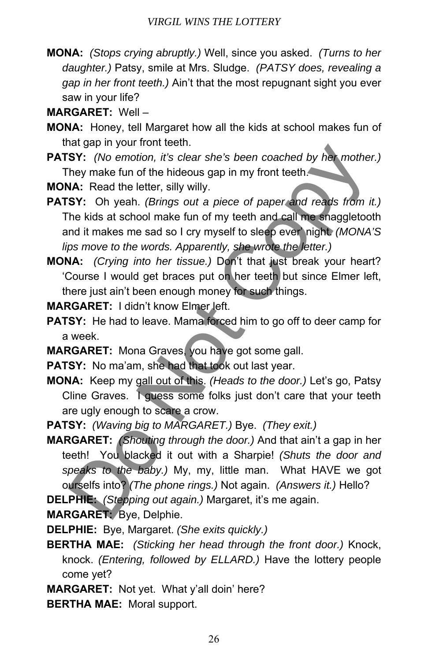**MONA:** *(Stops crying abruptly.)* Well, since you asked. *(Turns to her daughter.)* Patsy, smile at Mrs. Sludge. *(PATSY does, revealing a gap in her front teeth.)* Ain't that the most repugnant sight you ever saw in your life?

**MARGARET:** Well –

- **MONA:** Honey, tell Margaret how all the kids at school makes fun of that gap in your front teeth.
- **PATSY:** *(No emotion, it's clear she's been coached by her mother.)* They make fun of the hideous gap in my front teeth.

**MONA:** Read the letter, silly willy.

**PATSY:** Oh yeah. *(Brings out a piece of paper and reads from it.)* The kids at school make fun of my teeth and call me snaggletooth and it makes me sad so I cry myself to sleep ever' night. *(MONA'S lips move to the words. Apparently, she wrote the letter.)*

**MONA:** *(Crying into her tissue.)* Don't that just break your heart? 'Course I would get braces put on her teeth but since Elmer left, there just ain't been enough money for such things.

**MARGARET:** I didn't know Elmer left.

- **PATSY:** He had to leave. Mama forced him to go off to deer camp for a week.
- **MARGARET:** Mona Graves, you have got some gall.
- **PATSY:** No ma'am, she had that took out last year.
- **MONA:** Keep my gall out of this. *(Heads to the door.)* Let's go, Patsy Cline Graves. I guess some folks just don't care that your teeth are ugly enough to scare a crow.
- **PATSY:** *(Waving big to MARGARET.)* Bye. *(They exit.)*

**MARGARET:** *(Shouting through the door.)* And that ain't a gap in her teeth! You blacked it out with a Sharpie! *(Shuts the door and speaks to the baby.)* My, my, little man. What HAVE we got ourselfs into? *(The phone rings.)* Not again. *(Answers it.)* Hello? Fig. 19 out in the cost of the photon and the same of the pair of the pair.<br>
Solve *(No emotion, it's clear she's been coached by her mother*<br>
NA: Read the letter, silly willy.<br>
SY: (No emotion, it's clear she's been coac

**DELPHIE:** *(Stepping out again.)* Margaret, it's me again.

**MARGARET:** Bye, Delphie.

**DELPHIE:** Bye, Margaret. *(She exits quickly.)*

- **BERTHA MAE:** *(Sticking her head through the front door.)* Knock, knock. *(Entering, followed by ELLARD.)* Have the lottery people come yet?
- **MARGARET:** Not yet. What y'all doin' here?

**BERTHA MAE:** Moral support.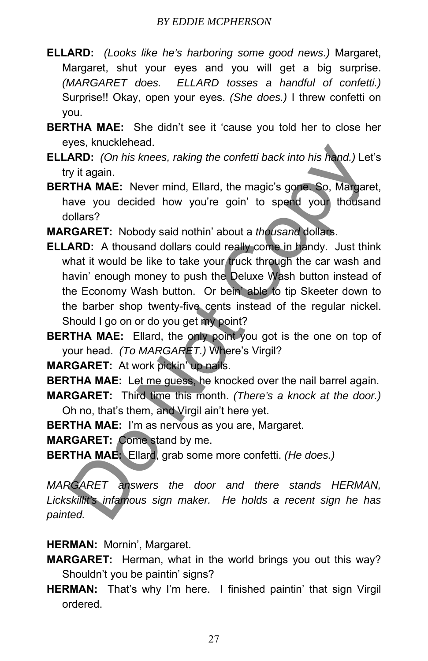- **ELLARD:** *(Looks like he's harboring some good news.)* Margaret, Margaret, shut your eyes and you will get a big surprise. *(MARGARET does. ELLARD tosses a handful of confetti.)* Surprise!! Okay, open your eyes. *(She does.)* I threw confetti on you.
- **BERTHA MAE:** She didn't see it 'cause you told her to close her eyes, knucklehead.
- **ELLARD:** *(On his knees, raking the confetti back into his hand.)* Let's try it again.
- **BERTHA MAE:** Never mind, Ellard, the magic's gone. So, Margaret, have you decided how you're goin' to spend your thousand dollars?
- **MARGARET:** Nobody said nothin' about a *thousand* dollars.
- **ELLARD:** A thousand dollars could really come in handy. Just think what it would be like to take your truck through the car wash and havin' enough money to push the Deluxe Wash button instead of the Economy Wash button. Or bein' able to tip Skeeter down to the barber shop twenty-five cents instead of the regular nickel. Should I go on or do you get my point? yes, who chered to the base of the confetti back into his hand.) Let<br>
ARD: (On his knees, raking the confetti back into his hand.) Let<br>
yit again.<br>
THA MAE: Never mind, Ellard, the magic's gone. So, Margare<br>
ave you decide
- **BERTHA MAE:** Ellard, the only point you got is the one on top of your head. *(To MARGARET.)* Where's Virgil?

**MARGARET:** At work pickin' up nails.

**BERTHA MAE:** Let me guess, he knocked over the nail barrel again.

**MARGARET:** Third time this month. *(There's a knock at the door.)* Oh no, that's them, and Virgil ain't here yet.

**BERTHA MAE:** I'm as nervous as you are, Margaret.

**MARGARET:** Come stand by me.

**BERTHA MAE:** Ellard, grab some more confetti. *(He does.)*

*MARGARET answers the door and there stands HERMAN, Lickskillit's infamous sign maker. He holds a recent sign he has painted.* 

**HERMAN:** Mornin', Margaret.

**MARGARET:** Herman, what in the world brings you out this way? Shouldn't you be paintin' signs?

**HERMAN:** That's why I'm here. I finished paintin' that sign Virgil ordered.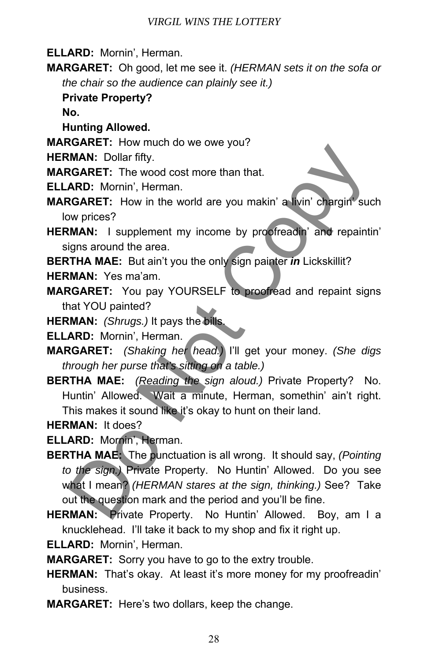**ELLARD:** Mornin', Herman.

**MARGARET:** Oh good, let me see it. *(HERMAN sets it on the sofa or the chair so the audience can plainly see it.)* 

**Private Property?** 

**No.** 

**Hunting Allowed.** 

- **MARGARET:** How much do we owe you?
- **HERMAN:** Dollar fifty.

**MARGARET:** The wood cost more than that.

**ELLARD:** Mornin', Herman.

- **MARGARET:** How in the world are you makin' a livin' chargin' such low prices?
- **HERMAN:** I supplement my income by proofreadin' and repaintin' signs around the area.

**BERTHA MAE:** But ain't you the only sign painter *in* Lickskillit?

- **HERMAN:** Yes ma'am.
- **MARGARET:** You pay YOURSELF to proofread and repaint signs that YOU painted?
- **HERMAN:** *(Shrugs.)* It pays the bills.

**ELLARD:** Mornin', Herman.

- **MARGARET:** *(Shaking her head.)* I'll get your money. *(She digs through her purse that's sitting on a table.)*
- **BERTHA MAE:** *(Reading the sign aloud.)* Private Property? No. Huntin' Allowed. Wait a minute, Herman, somethin' ain't right. This makes it sound like it's okay to hunt on their land.
- **HERMAN:** It does?

**ELLARD:** Mornin', Herman.

- **BERTHA MAE:** The punctuation is all wrong. It should say, *(Pointing to the sign.)* Private Property. No Huntin' Allowed. Do you see what I mean? *(HERMAN stares at the sign, thinking.)* See? Take out the question mark and the period and you'll be fine. MAN: Dollar fifty.<br>
NAN: Dollar fifty.<br>
RAD: Mornin', Herman.<br>
RAD: Mornin', Herman.<br>
RAD: Mornin', Herman.<br>
RAD: Mornin', Herman.<br>
RAD: Mornin', Herman.<br>
We price?<br>
We price?<br>
We price?<br>
Vigns around the area.<br>
TIHA MAE:
- **HERMAN:** Private Property. No Huntin' Allowed. Boy, am I a knucklehead. I'll take it back to my shop and fix it right up.

**ELLARD:** Mornin', Herman.

**MARGARET:** Sorry you have to go to the extry trouble.

- **HERMAN:** That's okay. At least it's more money for my proofreadin' business.
- **MARGARET:** Here's two dollars, keep the change.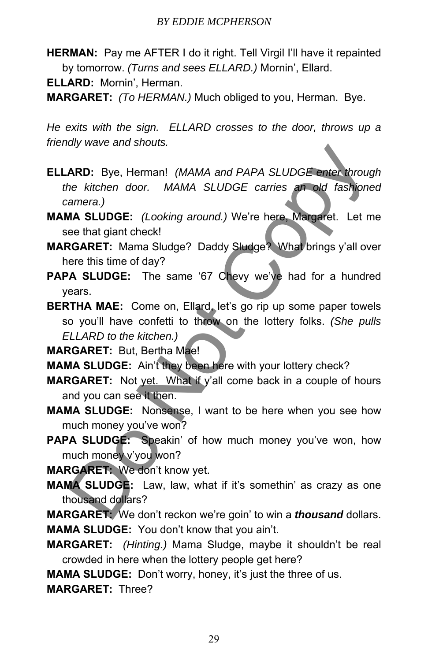**HERMAN:** Pay me AFTER I do it right. Tell Virgil I'll have it repainted by tomorrow. *(Turns and sees ELLARD.)* Mornin', Ellard.

**ELLARD:** Mornin', Herman.

**MARGARET:** *(To HERMAN.)* Much obliged to you, Herman. Bye.

*He exits with the sign. ELLARD crosses to the door, throws up a friendly wave and shouts.* 

- **ELLARD:** Bye, Herman! *(MAMA and PAPA SLUDGE enter through the kitchen door. MAMA SLUDGE carries an old fashioned camera.)*
- **MAMA SLUDGE:** *(Looking around.)* We're here, Margaret. Let me see that giant check!
- **MARGARET:** Mama Sludge? Daddy Sludge? What brings y'all over here this time of day?
- **PAPA SLUDGE:** The same '67 Chevy we've had for a hundred years.

**BERTHA MAE:** Come on, Ellard, let's go rip up some paper towels so you'll have confetti to throw on the lottery folks. *(She pulls ELLARD to the kitchen.)* MRD: Bye, Herman! (MAMA and PAPA SLUDGE enter through<br>the kitchen door. MAMA SLUDGE carries an old fashione<br>amera.)<br>MA SLUDGE: (Looking around.) We're here. Margaret. Let meet that giant check!<br>RGARET: Mama Sludge? Daddy S

**MARGARET:** But, Bertha Mae!

**MAMA SLUDGE:** Ain't they been here with your lottery check?

- **MARGARET:** Not yet. What if y'all come back in a couple of hours and you can see it then.
- **MAMA SLUDGE:** Nonsense, I want to be here when you see how much money you've won?
- PAPA SLUDGE: Speakin' of how much money you've won, how much money v'you won?

**MARGARET:** We don't know yet.

**MAMA SLUDGE:** Law, law, what if it's somethin' as crazy as one thousand dollars?

**MARGARET:** We don't reckon we're goin' to win a *thousand* dollars. **MAMA SLUDGE:** You don't know that you ain't.

**MARGARET:** *(Hinting.)* Mama Sludge, maybe it shouldn't be real crowded in here when the lottery people get here?

**MAMA SLUDGE:** Don't worry, honey, it's just the three of us.

**MARGARET:** Three?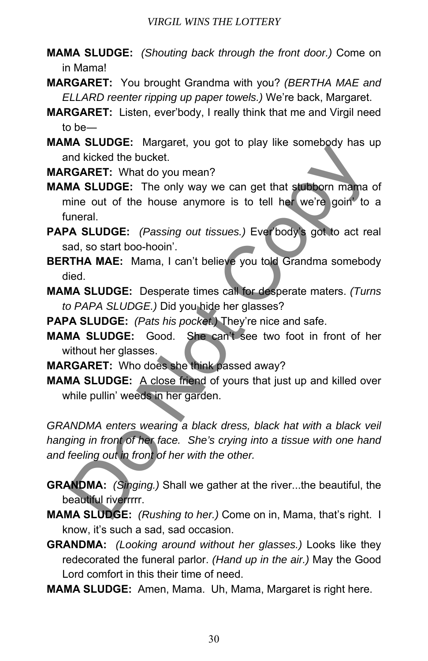- **MAMA SLUDGE:** *(Shouting back through the front door.)* Come on in Mama!
- **MARGARET:** You brought Grandma with you? *(BERTHA MAE and ELLARD reenter ripping up paper towels.)* We're back, Margaret.
- **MARGARET:** Listen, ever'body, I really think that me and Virgil need to be―
- **MAMA SLUDGE:** Margaret, you got to play like somebody has up and kicked the bucket.

**MARGARET:** What do you mean?

- **MAMA SLUDGE:** The only way we can get that stubborn mama of mine out of the house anymore is to tell her we're goin' to a funeral.
- **PAPA SLUDGE:** *(Passing out tissues.)* Ever'body's got to act real sad, so start boo-hooin'.
- **BERTHA MAE:** Mama, I can't believe you told Grandma somebody died.
- **MAMA SLUDGE:** Desperate times call for desperate maters. *(Turns to PAPA SLUDGE.)* Did you hide her glasses?

**PAPA SLUDGE:** *(Pats his pocket.)* They're nice and safe.

- **MAMA SLUDGE:** Good. She can't see two foot in front of her without her glasses.
- **MARGARET:** Who does she think passed away?
- **MAMA SLUDGE:** A close friend of yours that just up and killed over while pullin' weeds in her garden.

GRANDMA enters wearing a black dress, black hat with a black veil *hanging in front of her face. She's crying into a tissue with one hand and feeling out in front of her with the other.*  In Strongence, who yet to play the solitious has the protocol. Wand Street it and Street Copy we can get that stubborn manna in<br>the Noted the bucket. The only way we can get that stubborn manna in<br>the out of the house anym

- **GRANDMA:** *(Singing.)* Shall we gather at the river...the beautiful, the beautiful riverrrrr.
- **MAMA SLUDGE:** *(Rushing to her.)* Come on in, Mama, that's right. I know, it's such a sad, sad occasion.
- **GRANDMA:** *(Looking around without her glasses.)* Looks like they redecorated the funeral parlor. *(Hand up in the air.)* May the Good Lord comfort in this their time of need.
- **MAMA SLUDGE:** Amen, Mama. Uh, Mama, Margaret is right here.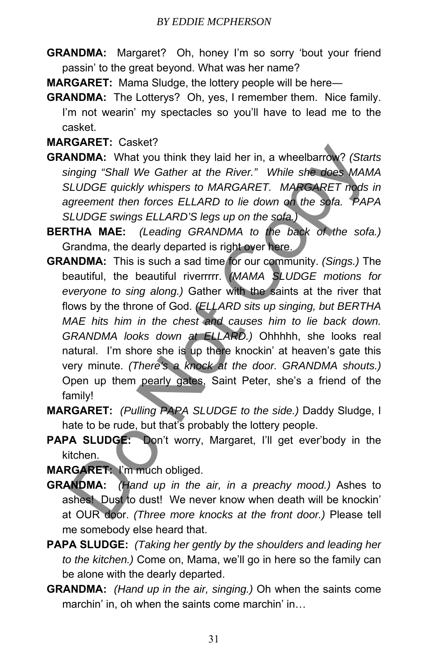**GRANDMA:** Margaret? Oh, honey I'm so sorry 'bout your friend passin' to the great beyond. What was her name?

**MARGARET:** Mama Sludge, the lottery people will be here―

**GRANDMA:** The Lotterys? Oh, yes, I remember them. Nice family. I'm not wearin' my spectacles so you'll have to lead me to the casket.

### **MARGARET:** Casket?

- **GRANDMA:** What you think they laid her in, a wheelbarrow? *(Starts singing "Shall We Gather at the River." While she does MAMA SLUDGE quickly whispers to MARGARET. MARGARET nods in agreement then forces ELLARD to lie down on the sofa. PAPA SLUDGE swings ELLARD'S legs up on the sofa.)*
- **BERTHA MAE:** *(Leading GRANDMA to the back of the sofa.)* Grandma, the dearly departed is right over here.
- **GRANDMA:** This is such a sad time for our community. *(Sings.)* The beautiful, the beautiful riverrrrr. *(MAMA SLUDGE motions for everyone to sing along.)* Gather with the saints at the river that flows by the throne of God. *(ELLARD sits up singing, but BERTHA MAE hits him in the chest and causes him to lie back down. GRANDMA looks down at ELLARD.)* Ohhhhh, she looks real natural. I'm shore she is up there knockin' at heaven's gate this very minute. *(There's a knock at the door. GRANDMA shouts.)* Open up them pearly gates, Saint Peter, she's a friend of the family! **STANDIMA:** What you think they laid her in, a wheelbarrow? (Star-<br> **INDIMA:** What you think they laid her in, a wheelbarrow? (Star-<br> **ILUDGE** quickly whispers to MARGARET. MARGARET nods<br>
greement then forces ELLARD to lie
- **MARGARET:** *(Pulling PAPA SLUDGE to the side.)* Daddy Sludge, I hate to be rude, but that's probably the lottery people.
- PAPA SLUDGE: Don't worry, Margaret, I'll get ever'body in the kitchen.

**MARGARET:** I'm much obliged.

- **GRANDMA:** *(Hand up in the air, in a preachy mood.)* Ashes to ashes! Dust to dust! We never know when death will be knockin' at OUR door. *(Three more knocks at the front door.)* Please tell me somebody else heard that.
- **PAPA SLUDGE:** *(Taking her gently by the shoulders and leading her to the kitchen.)* Come on, Mama, we'll go in here so the family can be alone with the dearly departed.
- **GRANDMA:** *(Hand up in the air, singing.)* Oh when the saints come marchin' in, oh when the saints come marchin' in…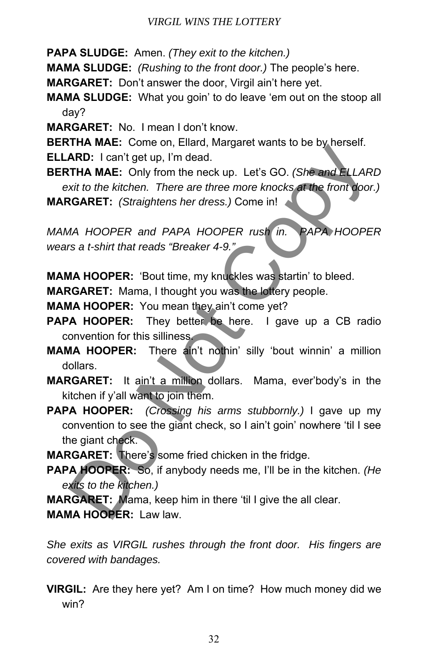**PAPA SLUDGE:** Amen. *(They exit to the kitchen.)*

**MAMA SLUDGE:** *(Rushing to the front door.)* The people's here.

**MARGARET:** Don't answer the door, Virgil ain't here yet.

**MAMA SLUDGE:** What you goin' to do leave 'em out on the stoop all day?

**MARGARET:** No. I mean I don't know.

**BERTHA MAE:** Come on, Ellard, Margaret wants to be by herself.

**ELLARD:** I can't get up, I'm dead.

**BERTHA MAE:** Only from the neck up. Let's GO. *(She and ELLARD exit to the kitchen. There are three more knocks at the front door.)* **MARGARET:** *(Straightens her dress.)* Come in!

*MAMA HOOPER and PAPA HOOPER rush in. PAPA HOOPER wears a t-shirt that reads "Breaker 4-9."* 

**MAMA HOOPER:** 'Bout time, my knuckles was startin' to bleed.

**MARGARET:** Mama, I thought you was the lottery people.

**MAMA HOOPER:** You mean they ain't come yet?

**PAPA HOOPER:** They better be here. I gave up a CB radio convention for this silliness.

**MAMA HOOPER:** There ain't nothin' silly 'bout winnin' a million dollars.

- **MARGARET:** It ain't a million dollars. Mama, ever'body's in the kitchen if y'all want to join them.
- **PAPA HOOPER:** *(Crossing his arms stubbornly.)* I gave up my convention to see the giant check, so I ain't goin' nowhere 'til I see the giant check. **EXECUTE THAN MARE:** Construction, Language Wantes to be by the set to the kitchen. There are three more knocks at the front door<br> **GARET:** (Straightens her dress.) Come in!<br>
AA HOOPER and PAPA HOOPER rush in. PAPA HOOPER<br>

**MARGARET:** There's some fried chicken in the fridge.

**PAPA HOOPER:** So, if anybody needs me, I'll be in the kitchen. *(He exits to the kitchen.)*

**MARGARET:** Mama, keep him in there 'til I give the all clear.

**MAMA HOOPER:** Law law.

*She exits as VIRGIL rushes through the front door. His fingers are covered with bandages.* 

**VIRGIL:** Are they here yet? Am I on time? How much money did we win?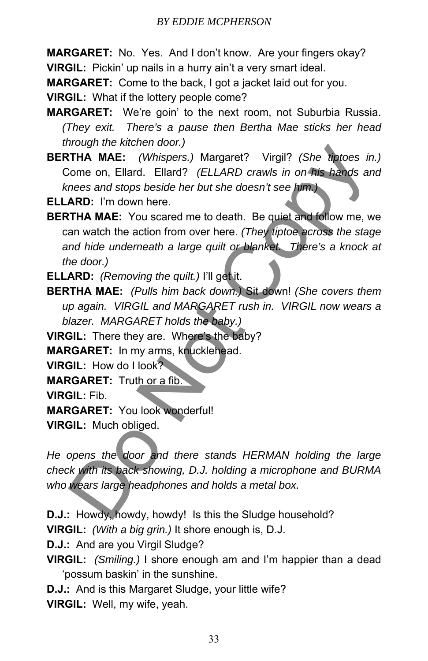**MARGARET:** No. Yes. And I don't know. Are your fingers okay? **VIRGIL:** Pickin' up nails in a hurry ain't a very smart ideal.

**MARGARET:** Come to the back, I got a jacket laid out for you.

**VIRGIL:** What if the lottery people come?

**MARGARET:** We're goin' to the next room, not Suburbia Russia. *(They exit. There's a pause then Bertha Mae sticks her head through the kitchen door.)*

**BERTHA MAE:** *(Whispers.)* Margaret? Virgil? *(She tiptoes in.)* Come on, Ellard. Ellard? *(ELLARD crawls in on his hands and knees and stops beside her but she doesn't see him.)*

**ELLARD:** I'm down here.

**BERTHA MAE:** You scared me to death. Be quiet and follow me, we can watch the action from over here. *(They tiptoe across the stage and hide underneath a large quilt or blanket. There's a knock at the door.)* Mongarities Marchineson, Margaret? Virgil? (She matoson:<br>
THA MAE: (Whispers.) Margaret? Virgil? (She matos are<br>
note on, Ellard. Ellard? (ELLARD crawls in on this hands are<br> **ARD:** I'm down here.<br> **ARD:** I'm down here.<br>

**ELLARD:** *(Removing the quilt.)* I'll get it.

**BERTHA MAE:** *(Pulls him back down.)* Sit down! *(She covers them up again. VIRGIL and MARGARET rush in. VIRGIL now wears a blazer. MARGARET holds the baby.)*

**VIRGIL:** There they are. Where's the baby?

**MARGARET:** In my arms, knucklehead.

**VIRGIL:** How do I look?

**MARGARET:** Truth or a fib.

**VIRGIL:** Fib.

**MARGARET:** You look wonderful!

**VIRGIL:** Much obliged.

*He opens the door and there stands HERMAN holding the large check with its back showing, D.J. holding a microphone and BURMA who wears large headphones and holds a metal box.* 

**D.J.:** Howdy, howdy, howdy! Is this the Sludge household?

**VIRGIL:** *(With a big grin.)* It shore enough is, D.J.

**D.J.:** And are you Virgil Sludge?

**VIRGIL:** *(Smiling.)* I shore enough am and I'm happier than a dead 'possum baskin' in the sunshine.

**D.J.:** And is this Margaret Sludge, your little wife? **VIRGIL:** Well, my wife, yeah.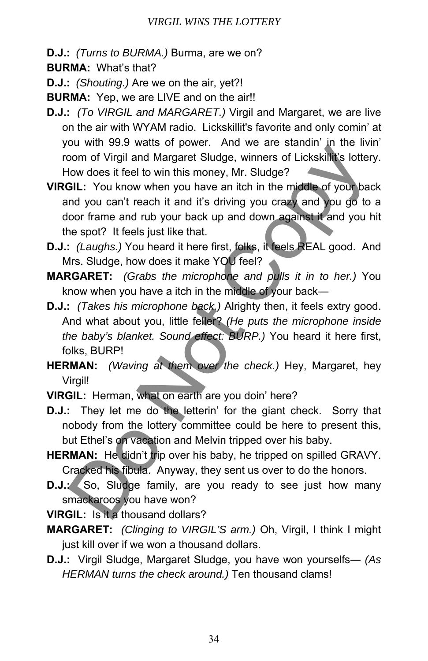#### *VIRGIL WINS THE LOTTERY*

**D.J.:** *(Turns to BURMA.)* Burma, are we on?

**BURMA:** What's that?

**D.J.:** *(Shouting.)* Are we on the air, yet?!

**BURMA:** Yep, we are LIVE and on the air!!

- **D.J.:** *(To VIRGIL and MARGARET.)* Virgil and Margaret, we are live on the air with WYAM radio. Lickskillit's favorite and only comin' at you with 99.9 watts of power. And we are standin' in the livin' room of Virgil and Margaret Sludge, winners of Lickskillit's lottery. How does it feel to win this money, Mr. Sludge?
- **VIRGIL:** You know when you have an itch in the middle of your back and you can't reach it and it's driving you crazy and you go to a door frame and rub your back up and down against it and you hit the spot? It feels just like that. bow more of Virgil and Margaret Sludge, winners of Lickskillik's lotter<br>Dom of Virgil and Margaret Sludge, winners of Lickskillik's lotter<br>
How does it feel to win this money, Mr. Sludge?<br> **GIL:** You know when you have an
- **D.J.:** *(Laughs.)* You heard it here first, folks, it feels REAL good. And Mrs. Sludge, how does it make YOU feel?
- **MARGARET:** *(Grabs the microphone and pulls it in to her.)* You know when you have a itch in the middle of your back―
- **D.J.:** *(Takes his microphone back.)* Alrighty then, it feels extry good. And what about you, little feller? *(He puts the microphone inside the baby's blanket. Sound effect: BURP.)* You heard it here first, folks, BURP!
- **HERMAN:** *(Waving at them over the check.)* Hey, Margaret, hey Virgil!

**VIRGIL:** Herman, what on earth are you doin' here?

- **D.J.:** They let me do the letterin' for the giant check. Sorry that nobody from the lottery committee could be here to present this, but Ethel's on vacation and Melvin tripped over his baby.
- **HERMAN:** He didn't trip over his baby, he tripped on spilled GRAVY. Cracked his fibula. Anyway, they sent us over to do the honors.
- **D.J.:** So, Sludge family, are you ready to see just how many smackaroos you have won?
- **VIRGIL:** Is it a thousand dollars?
- **MARGARET:** *(Clinging to VIRGIL'S arm.)* Oh, Virgil, I think I might just kill over if we won a thousand dollars.
- **D.J.:** Virgil Sludge, Margaret Sludge, you have won yourselfs― *(As HERMAN turns the check around.)* Ten thousand clams!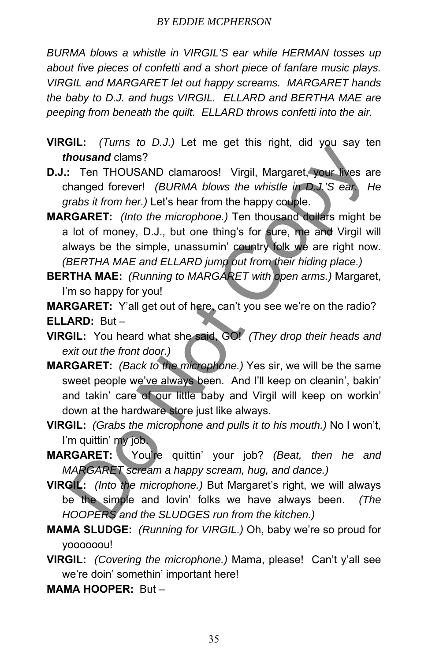*BURMA blows a whistle in VIRGIL'S ear while HERMAN tosses up about five pieces of confetti and a short piece of fanfare music plays. VIRGIL and MARGARET let out happy screams. MARGARET hands the baby to D.J. and hugs VIRGIL. ELLARD and BERTHA MAE are peeping from beneath the quilt. ELLARD throws confetti into the air.* 

- **VIRGIL:** *(Turns to D.J.)* Let me get this right, did you say ten *thousand* clams?
- **D.J.:** Ten THOUSAND clamaroos! Virgil, Margaret, your lives are changed forever! *(BURMA blows the whistle in D.J.'S ear. He grabs it from her.)* Let's hear from the happy couple.
- **MARGARET:** *(Into the microphone.)* Ten thousand dollars might be a lot of money, D.J., but one thing's for sure, me and Virgil will always be the simple, unassumin' country folk we are right now. *(BERTHA MAE and ELLARD jump out from their hiding place.)*
- **BERTHA MAE:** *(Running to MARGARET with open arms.)* Margaret, I'm so happy for you!

**MARGARET:** Y'all get out of here, can't you see we're on the radio? **ELLARD:** But –

**VIRGIL:** You heard what she said, GO! *(They drop their heads and exit out the front door.)*

- **MARGARET:** *(Back to the microphone.)* Yes sir, we will be the same sweet people we've always been. And I'll keep on cleanin', bakin' and takin' care of our little baby and Virgil will keep on workin' down at the hardware store just like always. The Transis of the state of the microphone and pulls it to his mouth. The area well always and clames?<br>
The THOUSAND clamaroos! Virgil, Margaret, your lives an ananged forever! (BURMA blows the whistle in DJ.'S ear. Franks
- **VIRGIL:** *(Grabs the microphone and pulls it to his mouth.)* No I won't, I'm quittin' my job.
- **MARGARET:** You're quittin' your job? *(Beat, then he and MARGARET scream a happy scream, hug, and dance.)*
- **VIRGIL:** *(Into the microphone.)* But Margaret's right, we will always be the simple and lovin' folks we have always been. *(The HOOPERS and the SLUDGES run from the kitchen.)*
- **MAMA SLUDGE:** *(Running for VIRGIL.)* Oh, baby we're so proud for yoooooou!
- **VIRGIL:** *(Covering the microphone.)* Mama, please! Can't y'all see we're doin' somethin' important here!
- **MAMA HOOPER:** But –